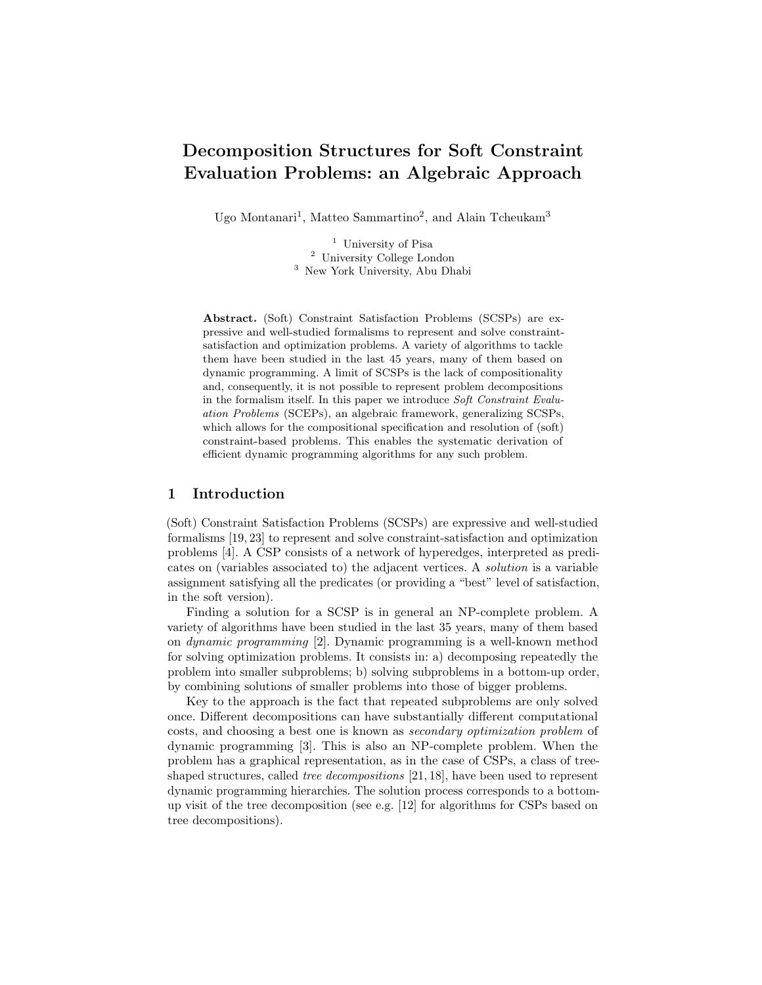# Decomposition Structures for Soft Constraint Evaluation Problems: an Algebraic Approach

Ugo Montanari<sup>1</sup>, Matteo Sammartino<sup>2</sup>, and Alain Tcheukam<sup>3</sup>

<sup>1</sup> University of Pisa <sup>2</sup> University College London <sup>3</sup> New York University, Abu Dhabi

Abstract. (Soft) Constraint Satisfaction Problems (SCSPs) are expressive and well-studied formalisms to represent and solve constraintsatisfaction and optimization problems. A variety of algorithms to tackle them have been studied in the last 45 years, many of them based on dynamic programming. A limit of SCSPs is the lack of compositionality and, consequently, it is not possible to represent problem decompositions in the formalism itself. In this paper we introduce Soft Constraint Evaluation Problems (SCEPs), an algebraic framework, generalizing SCSPs, which allows for the compositional specification and resolution of (soft) constraint-based problems. This enables the systematic derivation of efficient dynamic programming algorithms for any such problem.

## 1 Introduction

(Soft) Constraint Satisfaction Problems (SCSPs) are expressive and well-studied formalisms [19, 23] to represent and solve constraint-satisfaction and optimization problems [4]. A CSP consists of a network of hyperedges, interpreted as predicates on (variables associated to) the adjacent vertices. A solution is a variable assignment satisfying all the predicates (or providing a "best" level of satisfaction, in the soft version).

Finding a solution for a SCSP is in general an NP-complete problem. A variety of algorithms have been studied in the last 35 years, many of them based on dynamic programming [2]. Dynamic programming is a well-known method for solving optimization problems. It consists in: a) decomposing repeatedly the problem into smaller subproblems; b) solving subproblems in a bottom-up order, by combining solutions of smaller problems into those of bigger problems.

Key to the approach is the fact that repeated subproblems are only solved once. Different decompositions can have substantially different computational costs, and choosing a best one is known as secondary optimization problem of dynamic programming [3]. This is also an NP-complete problem. When the problem has a graphical representation, as in the case of CSPs, a class of treeshaped structures, called tree decompositions [21, 18], have been used to represent dynamic programming hierarchies. The solution process corresponds to a bottomup visit of the tree decomposition (see e.g. [12] for algorithms for CSPs based on tree decompositions).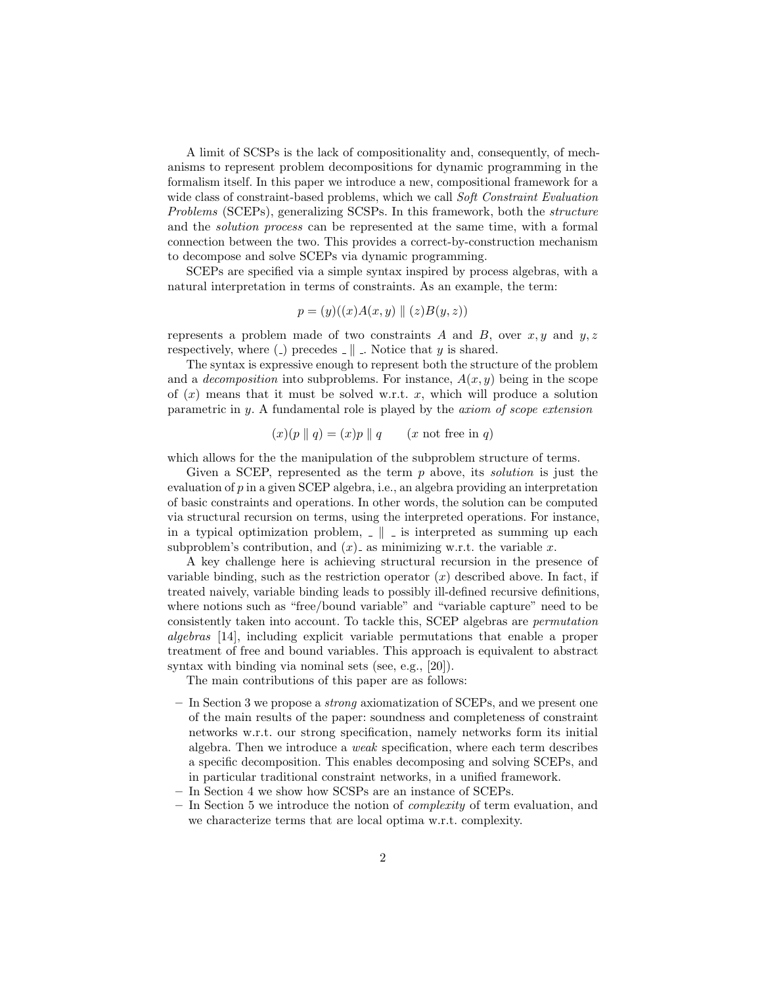A limit of SCSPs is the lack of compositionality and, consequently, of mechanisms to represent problem decompositions for dynamic programming in the formalism itself. In this paper we introduce a new, compositional framework for a wide class of constraint-based problems, which we call Soft Constraint Evaluation Problems (SCEPs), generalizing SCSPs. In this framework, both the structure and the solution process can be represented at the same time, with a formal connection between the two. This provides a correct-by-construction mechanism to decompose and solve SCEPs via dynamic programming.

SCEPs are specified via a simple syntax inspired by process algebras, with a natural interpretation in terms of constraints. As an example, the term:

$$
p = (y)((x)A(x, y) \parallel (z)B(y, z))
$$

represents a problem made of two constraints A and B, over  $x, y$  and  $y, z$ respectively, where (.) precedes  $\Box \parallel \Box$ . Notice that y is shared.

The syntax is expressive enough to represent both the structure of the problem and a *decomposition* into subproblems. For instance,  $A(x, y)$  being in the scope of  $(x)$  means that it must be solved w.r.t. x, which will produce a solution parametric in y. A fundamental role is played by the axiom of scope extension

$$
(x)(p || q) = (x)p || q
$$
 (x not free in q)

which allows for the the manipulation of the subproblem structure of terms.

Given a SCEP, represented as the term  $p$  above, its *solution* is just the evaluation of p in a given SCEP algebra, i.e., an algebra providing an interpretation of basic constraints and operations. In other words, the solution can be computed via structural recursion on terms, using the interpreted operations. For instance, in a typical optimization problem,  $\Box \parallel \Box$  is interpreted as summing up each subproblem's contribution, and  $(x)$  as minimizing w.r.t. the variable x.

A key challenge here is achieving structural recursion in the presence of variable binding, such as the restriction operator  $(x)$  described above. In fact, if treated naively, variable binding leads to possibly ill-defined recursive definitions, where notions such as "free/bound variable" and "variable capture" need to be consistently taken into account. To tackle this, SCEP algebras are permutation algebras [14], including explicit variable permutations that enable a proper treatment of free and bound variables. This approach is equivalent to abstract syntax with binding via nominal sets (see, e.g., [20]).

The main contributions of this paper are as follows:

- In Section 3 we propose a strong axiomatization of SCEPs, and we present one of the main results of the paper: soundness and completeness of constraint networks w.r.t. our strong specification, namely networks form its initial algebra. Then we introduce a weak specification, where each term describes a specific decomposition. This enables decomposing and solving SCEPs, and in particular traditional constraint networks, in a unified framework.
- In Section 4 we show how SCSPs are an instance of SCEPs.
- In Section 5 we introduce the notion of complexity of term evaluation, and we characterize terms that are local optima w.r.t. complexity.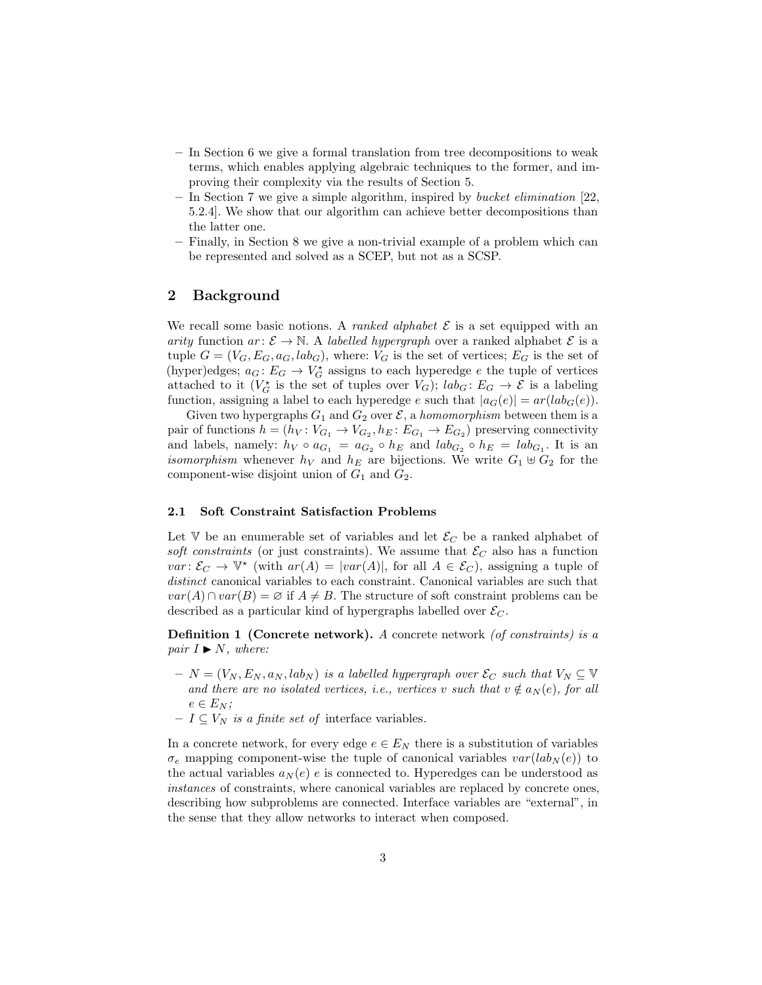- In Section 6 we give a formal translation from tree decompositions to weak terms, which enables applying algebraic techniques to the former, and improving their complexity via the results of Section 5.
- In Section 7 we give a simple algorithm, inspired by *bucket elimination* [22, 5.2.4]. We show that our algorithm can achieve better decompositions than the latter one.
- Finally, in Section 8 we give a non-trivial example of a problem which can be represented and solved as a SCEP, but not as a SCSP.

# 2 Background

We recall some basic notions. A *ranked alphabet*  $\mathcal E$  is a set equipped with an arity function  $ar: \mathcal{E} \to \mathbb{N}$ . A labelled hypergraph over a ranked alphabet  $\mathcal{E}$  is a tuple  $G = (V_G, E_G, a_G, lab_G)$ , where:  $V_G$  is the set of vertices;  $E_G$  is the set of (hyper)edges;  $a_G: E_G \to V_G^*$  assigns to each hyperedge e the tuple of vertices attached to it  $(V_G^{\star}$  is the set of tuples over  $V_G$ );  $lab_G: E_G \to \mathcal{E}$  is a labeling function, assigning a label to each hyperedge e such that  $|a_G(e)| = ar(lab_G(e))$ .

Given two hypergraphs  $G_1$  and  $G_2$  over  $\mathcal{E}$ , a *homomorphism* between them is a pair of functions  $h = (h_V: V_{G_1} \to V_{G_2}, h_E: E_{G_1} \to E_{G_2})$  preserving connectivity and labels, namely:  $h_V \circ a_{G_1} = a_{G_2} \circ h_E$  and  $lab_{G_2} \circ h_E = lab_{G_1}$ . It is an *isomorphism* whenever  $h_V$  and  $h_E$  are bijections. We write  $G_1 \oplus G_2$  for the component-wise disjoint union of  $G_1$  and  $G_2$ .

#### 2.1 Soft Constraint Satisfaction Problems

Let V be an enumerable set of variables and let  $\mathcal{E}_C$  be a ranked alphabet of soft constraints (or just constraints). We assume that  $\mathcal{E}_C$  also has a function  $var: \mathcal{E}_C \to \mathbb{V}^*$  (with  $ar(A) = |var(A)|$ , for all  $A \in \mathcal{E}_C$ ), assigning a tuple of distinct canonical variables to each constraint. Canonical variables are such that  $var(A) \cap var(B) = \emptyset$  if  $A \neq B$ . The structure of soft constraint problems can be described as a particular kind of hypergraphs labelled over  $\mathcal{E}_C$ .

**Definition 1 (Concrete network).** A concrete network  $($ of constraints $)$  is a pair  $I \blacktriangleright N$ , where:

- $N = (V_N, E_N, a_N, lab_N)$  is a labelled hypergraph over  $\mathcal{E}_C$  such that  $V_N \subseteq V$ and there are no isolated vertices, i.e., vertices v such that  $v \notin a_N(e)$ , for all  $e \in E_N$ ;
- $-I \subseteq V_N$  is a finite set of interface variables.

In a concrete network, for every edge  $e \in E_N$  there is a substitution of variables  $\sigma_e$  mapping component-wise the tuple of canonical variables  $var(lab_N (e))$  to the actual variables  $a_N(e)$  e is connected to. Hyperedges can be understood as instances of constraints, where canonical variables are replaced by concrete ones, describing how subproblems are connected. Interface variables are "external", in the sense that they allow networks to interact when composed.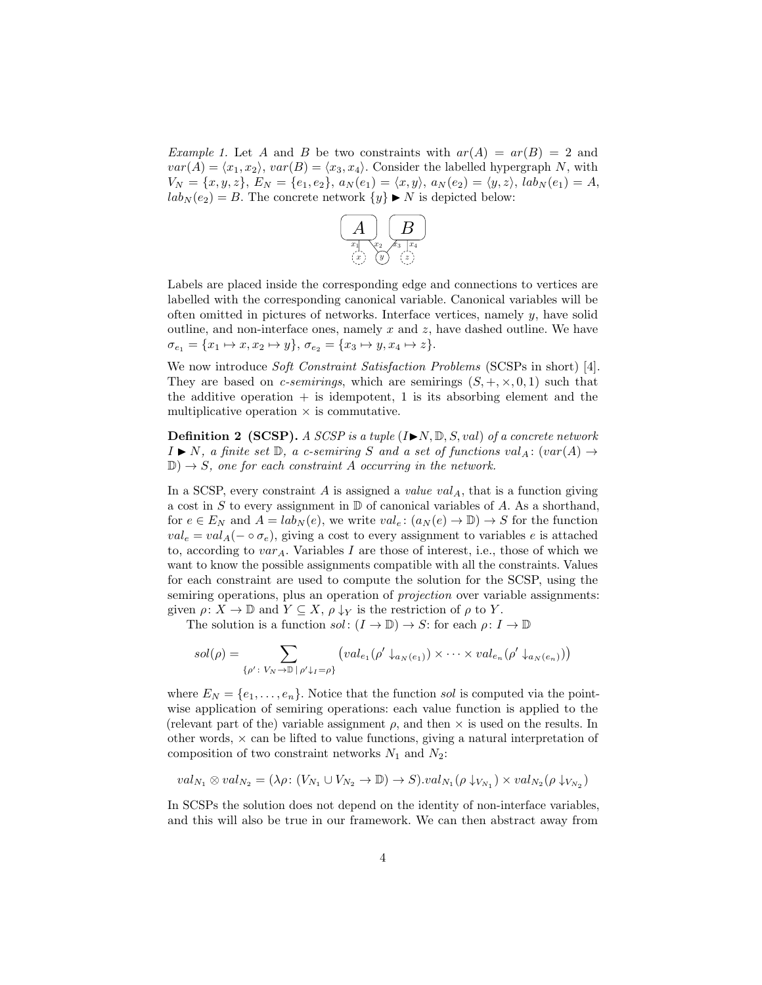Example 1. Let A and B be two constraints with  $ar(A) = ar(B) = 2$  and  $var(A) = \langle x_1, x_2 \rangle, var(B) = \langle x_3, x_4 \rangle$ . Consider the labelled hypergraph N, with  $V_N = \{x, y, z\}, E_N = \{e_1, e_2\}, a_N(e_1) = \langle x, y \rangle, a_N(e_2) = \langle y, z \rangle, lab_N(e_1) = A,$  $lab_N(e_2) = B$ . The concrete network  $\{y\} \triangleright N$  is depicted below:



Labels are placed inside the corresponding edge and connections to vertices are labelled with the corresponding canonical variable. Canonical variables will be often omitted in pictures of networks. Interface vertices, namely  $y$ , have solid outline, and non-interface ones, namely  $x$  and  $z$ , have dashed outline. We have  $\sigma_{e_1} = \{x_1 \mapsto x, x_2 \mapsto y\}, \sigma_{e_2} = \{x_3 \mapsto y, x_4 \mapsto z\}.$ 

We now introduce Soft Constraint Satisfaction Problems (SCSPs in short) [4]. They are based on *c-semirings*, which are semirings  $(S, +, \times, 0, 1)$  such that the additive operation  $+$  is idempotent, 1 is its absorbing element and the multiplicative operation  $\times$  is commutative.

**Definition 2 (SCSP).** A SCSP is a tuple  $(I \triangleright N, \mathbb{D}, S, val)$  of a concrete network  $I \triangleright N$ , a finite set  $\mathbb{D}$ , a c-semiring S and a set of functions val<sub>A</sub>: (var(A)  $\rightarrow$  $\mathbb{D}$ )  $\rightarrow$  *S*, one for each constraint *A* occurring in the network.

In a SCSP, every constraint A is assigned a value  $val_A$ , that is a function giving a cost in  $S$  to every assignment in  $D$  of canonical variables of  $A$ . As a shorthand, for  $e \in E_N$  and  $A = lab_N(e)$ , we write  $val_e: (a_N(e) \to \mathbb{D}) \to S$  for the function  $val_e = val_A(- \circ \sigma_e)$ , giving a cost to every assignment to variables e is attached to, according to  $var_A$ . Variables I are those of interest, i.e., those of which we want to know the possible assignments compatible with all the constraints. Values for each constraint are used to compute the solution for the SCSP, using the semiring operations, plus an operation of *projection* over variable assignments: given  $\rho: X \to \mathbb{D}$  and  $Y \subseteq X$ ,  $\rho \downarrow_Y$  is the restriction of  $\rho$  to Y.

The solution is a function  $sol: (I \to \mathbb{D}) \to S$ : for each  $\rho: I \to \mathbb{D}$ 

$$
sol(\rho) = \sum_{\{\rho' : V_N \to \mathbb{D} \mid \rho' \downarrow_I = \rho\}} \left( val_{e_1}(\rho' \downarrow_{a_N(e_1)}) \times \cdots \times val_{e_n}(\rho' \downarrow_{a_N(e_n)}) \right)
$$

where  $E_N = \{e_1, \ldots, e_n\}$ . Notice that the function sol is computed via the pointwise application of semiring operations: each value function is applied to the (relevant part of the) variable assignment  $\rho$ , and then  $\times$  is used on the results. In other words,  $\times$  can be lifted to value functions, giving a natural interpretation of composition of two constraint networks  $N_1$  and  $N_2$ :

$$
val_{N_1}\otimes val_{N_2}=(\lambda\rho\colon (V_{N_1}\cup V_{N_2}\rightarrow \mathbb{D})\rightarrow S).val_{N_1}(\rho\downarrow_{V_{N_1}})\times val_{N_2}(\rho\downarrow_{V_{N_2}})
$$

In SCSPs the solution does not depend on the identity of non-interface variables, and this will also be true in our framework. We can then abstract away from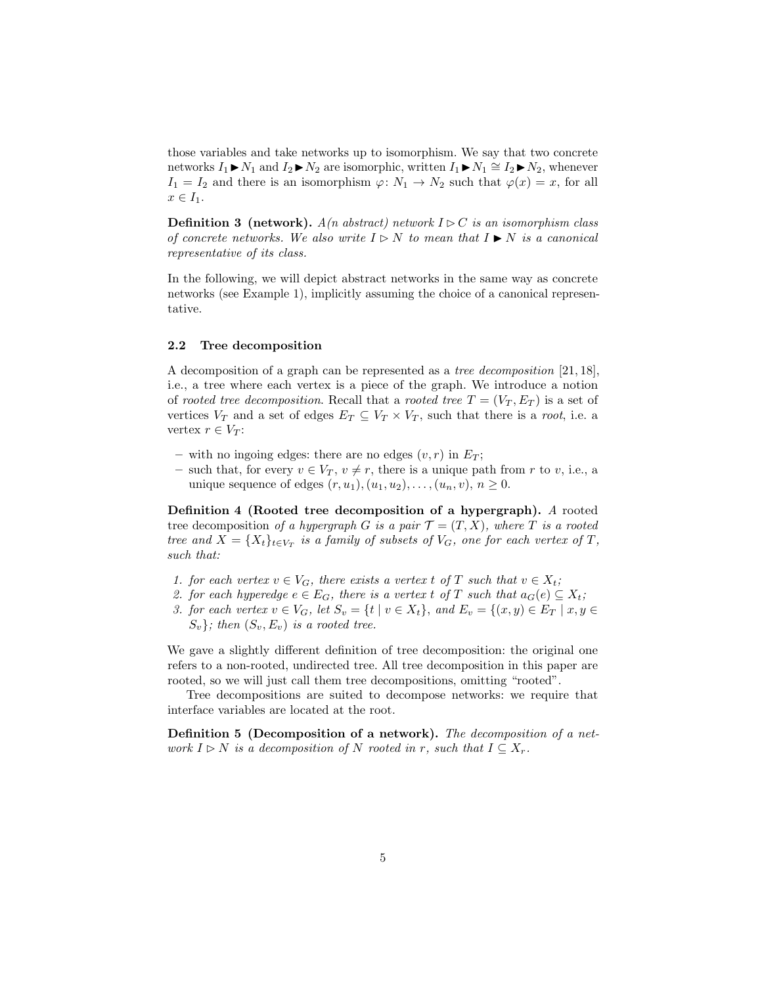those variables and take networks up to isomorphism. We say that two concrete networks  $I_1 \triangleright N_1$  and  $I_2 \triangleright N_2$  are isomorphic, written  $I_1 \triangleright N_1 \cong I_2 \triangleright N_2$ , whenever  $I_1 = I_2$  and there is an isomorphism  $\varphi: N_1 \to N_2$  such that  $\varphi(x) = x$ , for all  $x \in I_1$ .

**Definition 3 (network).**  $A(n \text{ abstract})$  network  $I \triangleright C$  is an isomorphism class of concrete networks. We also write  $I \triangleright N$  to mean that  $I \triangleright N$  is a canonical representative of its class.

In the following, we will depict abstract networks in the same way as concrete networks (see Example 1), implicitly assuming the choice of a canonical representative.

#### 2.2 Tree decomposition

A decomposition of a graph can be represented as a tree decomposition [21, 18], i.e., a tree where each vertex is a piece of the graph. We introduce a notion of rooted tree decomposition. Recall that a rooted tree  $T = (V_T, E_T)$  is a set of vertices  $V_T$  and a set of edges  $E_T \subseteq V_T \times V_T$ , such that there is a root, i.e. a vertex  $r \in V_T$ :

- with no ingoing edges: there are no edges  $(v, r)$  in  $E_T$ ;
- such that, for every  $v \in V_T$ ,  $v \neq r$ , there is a unique path from r to v, i.e., a unique sequence of edges  $(r, u_1), (u_1, u_2), \ldots, (u_n, v), n \geq 0.$

Definition 4 (Rooted tree decomposition of a hypergraph). A rooted tree decomposition of a hypergraph G is a pair  $\mathcal{T} = (T, X)$ , where T is a rooted tree and  $X = \{X_t\}_{t \in V_T}$  is a family of subsets of  $V_G$ , one for each vertex of T, such that:

- 1. for each vertex  $v \in V_G$ , there exists a vertex t of T such that  $v \in X_t$ ;
- 2. for each hyperedge  $e \in E_G$ , there is a vertex t of T such that  $a_G(e) \subseteq X_t$ ;
- 3. for each vertex  $v \in V_G$ , let  $S_v = \{t \mid v \in X_t\}$ , and  $E_v = \{(x, y) \in E_T \mid x, y \in E_v\}$  $S_v$ ; then  $(S_v, E_v)$  is a rooted tree.

We gave a slightly different definition of tree decomposition: the original one refers to a non-rooted, undirected tree. All tree decomposition in this paper are rooted, so we will just call them tree decompositions, omitting "rooted".

Tree decompositions are suited to decompose networks: we require that interface variables are located at the root.

Definition 5 (Decomposition of a network). The decomposition of a network  $I \triangleright N$  is a decomposition of N rooted in r, such that  $I \subseteq X_r$ .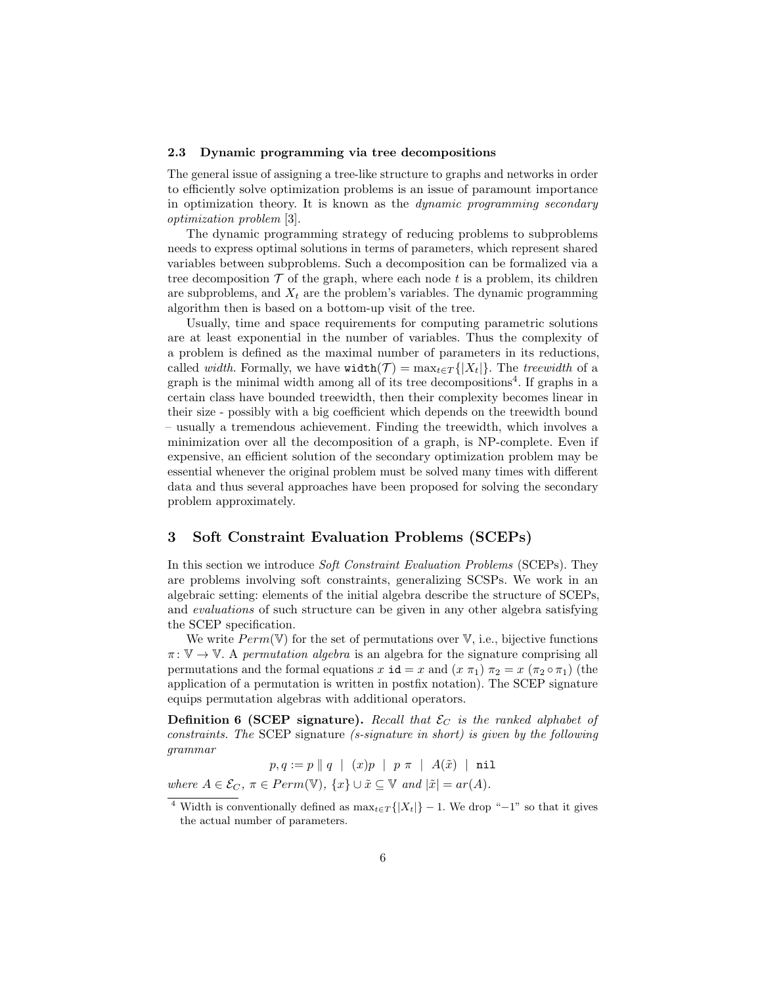#### 2.3 Dynamic programming via tree decompositions

The general issue of assigning a tree-like structure to graphs and networks in order to efficiently solve optimization problems is an issue of paramount importance in optimization theory. It is known as the dynamic programming secondary optimization problem [3].

The dynamic programming strategy of reducing problems to subproblems needs to express optimal solutions in terms of parameters, which represent shared variables between subproblems. Such a decomposition can be formalized via a tree decomposition  $\mathcal T$  of the graph, where each node t is a problem, its children are subproblems, and  $X_t$  are the problem's variables. The dynamic programming algorithm then is based on a bottom-up visit of the tree.

Usually, time and space requirements for computing parametric solutions are at least exponential in the number of variables. Thus the complexity of a problem is defined as the maximal number of parameters in its reductions, called *width*. Formally, we have width( $\mathcal{T}$ ) = max<sub>t∈T</sub>{|X<sub>t</sub>|}. The treewidth of a graph is the minimal width among all of its tree decompositions<sup>4</sup>. If graphs in a certain class have bounded treewidth, then their complexity becomes linear in their size - possibly with a big coefficient which depends on the treewidth bound – usually a tremendous achievement. Finding the treewidth, which involves a minimization over all the decomposition of a graph, is NP-complete. Even if expensive, an efficient solution of the secondary optimization problem may be essential whenever the original problem must be solved many times with different data and thus several approaches have been proposed for solving the secondary problem approximately.

# 3 Soft Constraint Evaluation Problems (SCEPs)

In this section we introduce Soft Constraint Evaluation Problems (SCEPs). They are problems involving soft constraints, generalizing SCSPs. We work in an algebraic setting: elements of the initial algebra describe the structure of SCEPs, and evaluations of such structure can be given in any other algebra satisfying the SCEP specification.

We write  $Perm(\mathbb{V})$  for the set of permutations over  $\mathbb{V}$ , i.e., bijective functions  $\pi: V \to V$ . A permutation algebra is an algebra for the signature comprising all permutations and the formal equations  $x \textbf{i}d = x$  and  $(x \pi_1) \pi_2 = x (\pi_2 \circ \pi_1)$  (the application of a permutation is written in postfix notation). The SCEP signature equips permutation algebras with additional operators.

**Definition 6 (SCEP signature).** Recall that  $\mathcal{E}_C$  is the ranked alphabet of constraints. The SCEP signature (s-signature in short) is given by the following grammar

 $p, q := p \parallel q \mid (x)p \mid p \pi \mid A(\tilde{x}) \mid \texttt{nil}$ where  $A \in \mathcal{E}_C$ ,  $\pi \in Perm(\mathbb{V})$ ,  $\{x\} \cup \tilde{x} \subseteq \mathbb{V}$  and  $|\tilde{x}| = ar(A)$ .

<sup>&</sup>lt;sup>4</sup> Width is conventionally defined as  $\max_{t \in T} \{|X_t|\} - 1$ . We drop "-1" so that it gives the actual number of parameters.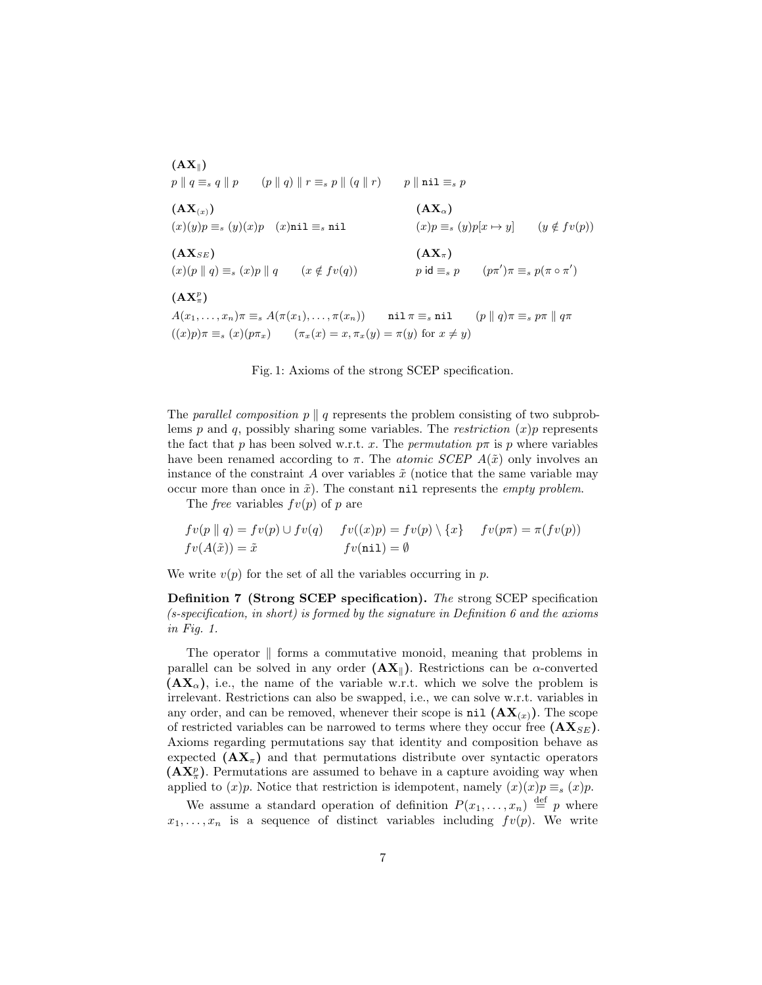$(AX_{\parallel})$  $p \parallel q \equiv_s q \parallel p$  (p ||q)  $r \equiv_s p \parallel (q \parallel r)$  p ||nil  $\equiv_s p$  $(AX_{(x)})$  (AX<sub>a</sub>)  $(x)(y)p \equiv_s (y)(x)p$   $(x)$ nil  $\equiv_s$ nil  $(x)p \equiv_s (y)p[x \mapsto y]$   $(y \notin fv(p))$  $(AX_{SE})$   $(AX_{\pi})$  $(x)(p || q) \equiv_s (x)p || q$   $(x \notin fv(q))$  $(v')\pi \equiv_s p(\pi \circ \pi')$  $(\mathbf{AX}_{\pi}^p)$  $A(x_1, \ldots, x_n)\pi \equiv_s A(\pi(x_1), \ldots, \pi(x_n))$  nil  $\pi \equiv_s$  nil  $(p \parallel q)\pi \equiv_s p\pi \parallel q\pi$  $((x)p)\pi \equiv_s (x)(p\pi_x) \quad (\pi_x(x) = x, \pi_x(y) = \pi(y)$  for  $x \neq y$ 

Fig. 1: Axioms of the strong SCEP specification.

The parallel composition  $p \parallel q$  represents the problem consisting of two subproblems p and q, possibly sharing some variables. The restriction  $(x)p$  represents the fact that p has been solved w.r.t. x. The permutation  $p\pi$  is p where variables have been renamed according to  $\pi$ . The *atomic SCEP A(* $\tilde{x}$ *)* only involves an instance of the constraint A over variables  $\tilde{x}$  (notice that the same variable may occur more than once in  $\tilde{x}$ ). The constant nil represents the *empty problem*.

The *free* variables  $fv(p)$  of p are

$$
fv(p \parallel q) = fv(p) \cup fv(q) \qquad fv(x)p) = fv(p) \setminus \{x\} \qquad fv(p\pi) = \pi(fv(p))
$$
  

$$
fv(A(\tilde{x})) = \tilde{x} \qquad \qquad fv(\text{nil}) = \emptyset
$$

We write  $v(p)$  for the set of all the variables occurring in p.

Definition 7 (Strong SCEP specification). The strong SCEP specification  $(s\text{-specification},\text{ in short})$  is formed by the signature in Definition 6 and the axioms in Fig. 1.

The operator  $\parallel$  forms a commutative monoid, meaning that problems in parallel can be solved in any order  $(AX_{\parallel})$ . Restrictions can be  $\alpha$ -converted  $(\mathbf{AX}_{\alpha})$ , i.e., the name of the variable w.r.t. which we solve the problem is irrelevant. Restrictions can also be swapped, i.e., we can solve w.r.t. variables in any order, and can be removed, whenever their scope is nil  $(AX_{(x)})$ . The scope of restricted variables can be narrowed to terms where they occur free  $(AX_{SE})$ . Axioms regarding permutations say that identity and composition behave as expected  $(AX_\pi)$  and that permutations distribute over syntactic operators  $(AX_{\pi}^p)$ . Permutations are assumed to behave in a capture avoiding way when applied to  $(x)p$ . Notice that restriction is idempotent, namely  $(x)(x)p \equiv_s (x)p$ .

We assume a standard operation of definition  $P(x_1, \ldots, x_n) \stackrel{\text{def}}{=} p$  where  $x_1, \ldots, x_n$  is a sequence of distinct variables including  $fv(p)$ . We write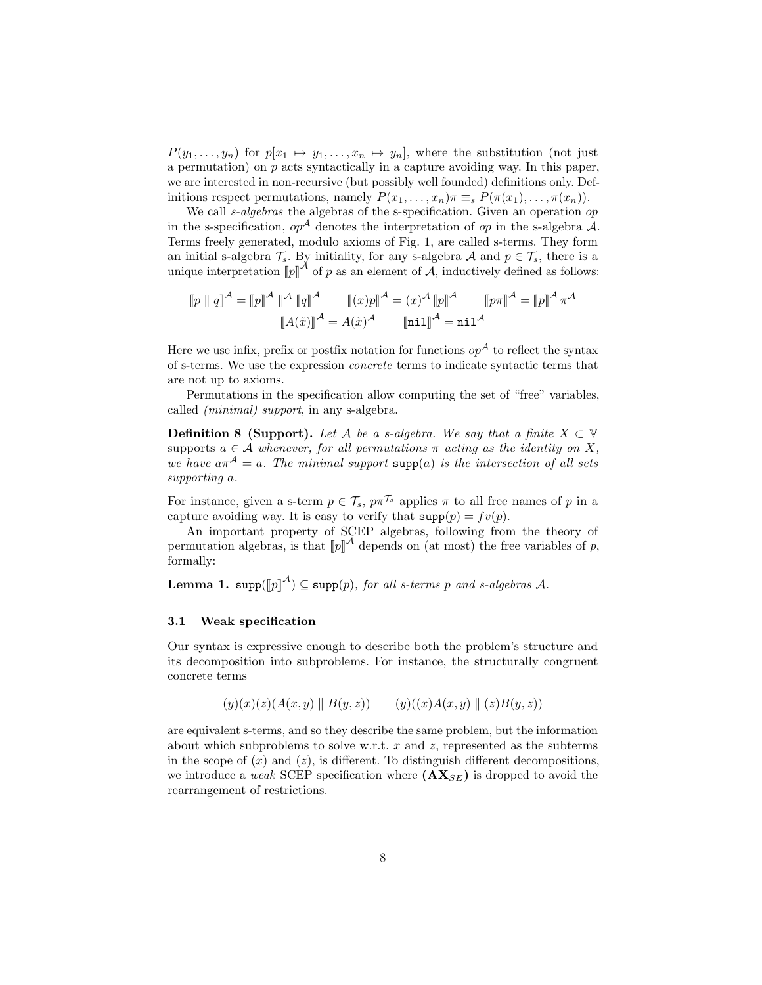$P(y_1, \ldots, y_n)$  for  $p[x_1 \mapsto y_1, \ldots, x_n \mapsto y_n]$ , where the substitution (not just a permutation) on  $p$  acts syntactically in a capture avoiding way. In this paper, we are interested in non-recursive (but possibly well founded) definitions only. Definitions respect permutations, namely  $P(x_1, \ldots, x_n) \pi \equiv_s P(\pi(x_1), \ldots, \pi(x_n)).$ 

We call *s-algebras* the algebras of the s-specification. Given an operation op in the s-specification,  $op^{\mathcal{A}}$  denotes the interpretation of  $op$  in the s-algebra A. Terms freely generated, modulo axioms of Fig. 1, are called s-terms. They form an initial s-algebra  $\mathcal{T}_s$ . By initiality, for any s-algebra A and  $p \in \mathcal{T}_s$ , there is a unique interpretation  $[\![p]\!]^{\mathcal{A}}$  of p as an element of  $\mathcal{A}$ , inductively defined as follows:

$$
\llbracket p \parallel q \rrbracket^{\mathcal{A}} = \llbracket p \rrbracket^{\mathcal{A}} \parallel^{\mathcal{A}} \llbracket q \rrbracket^{\mathcal{A}} \qquad \llbracket (x)p \rrbracket^{\mathcal{A}} = (x)^{\mathcal{A}} \llbracket p \rrbracket^{\mathcal{A}} \qquad \llbracket p \pi \rrbracket^{\mathcal{A}} = \llbracket p \rrbracket^{\mathcal{A}} \pi^{\mathcal{A}}
$$
\n
$$
\llbracket A(\tilde{x}) \rrbracket^{\mathcal{A}} = A(\tilde{x})^{\mathcal{A}} \qquad \llbracket \text{nil} \rrbracket^{\mathcal{A}} = \text{nil}^{\mathcal{A}}
$$

Here we use infix, prefix or postfix notation for functions  $op^{\mathcal{A}}$  to reflect the syntax of s-terms. We use the expression concrete terms to indicate syntactic terms that are not up to axioms.

Permutations in the specification allow computing the set of "free" variables, called (minimal) support, in any s-algebra.

**Definition 8 (Support).** Let A be a s-algebra. We say that a finite  $X \subset \mathbb{V}$ supports  $a \in \mathcal{A}$  whenever, for all permutations  $\pi$  acting as the identity on X, we have  $a\pi^{A} = a$ . The minimal support supp(a) is the intersection of all sets supporting a.

For instance, given a s-term  $p \in \mathcal{T}_s$ ,  $p\pi^{\mathcal{T}_s}$  applies  $\pi$  to all free names of p in a capture avoiding way. It is easy to verify that  $\text{supp}(p) = fv(p)$ .

An important property of SCEP algebras, following from the theory of permutation algebras, is that  $[\![p]\!]^{\mathcal{A}}$  depends on (at most) the free variables of p, formally: formally:

**Lemma 1.** supp $(\llbracket p \rrbracket^{\mathcal{A}}) \subseteq$  supp $(p)$ , for all s-terms p and s-algebras A.

## 3.1 Weak specification

Our syntax is expressive enough to describe both the problem's structure and its decomposition into subproblems. For instance, the structurally congruent concrete terms

$$
(y)(x)(z)(A(x,y) \| B(y,z)) \qquad (y)((x)A(x,y) \| (z)B(y,z))
$$

are equivalent s-terms, and so they describe the same problem, but the information about which subproblems to solve w.r.t.  $x$  and  $z$ , represented as the subterms in the scope of  $(x)$  and  $(z)$ , is different. To distinguish different decompositions, we introduce a *weak* SCEP specification where  $(AX_{SE})$  is dropped to avoid the rearrangement of restrictions.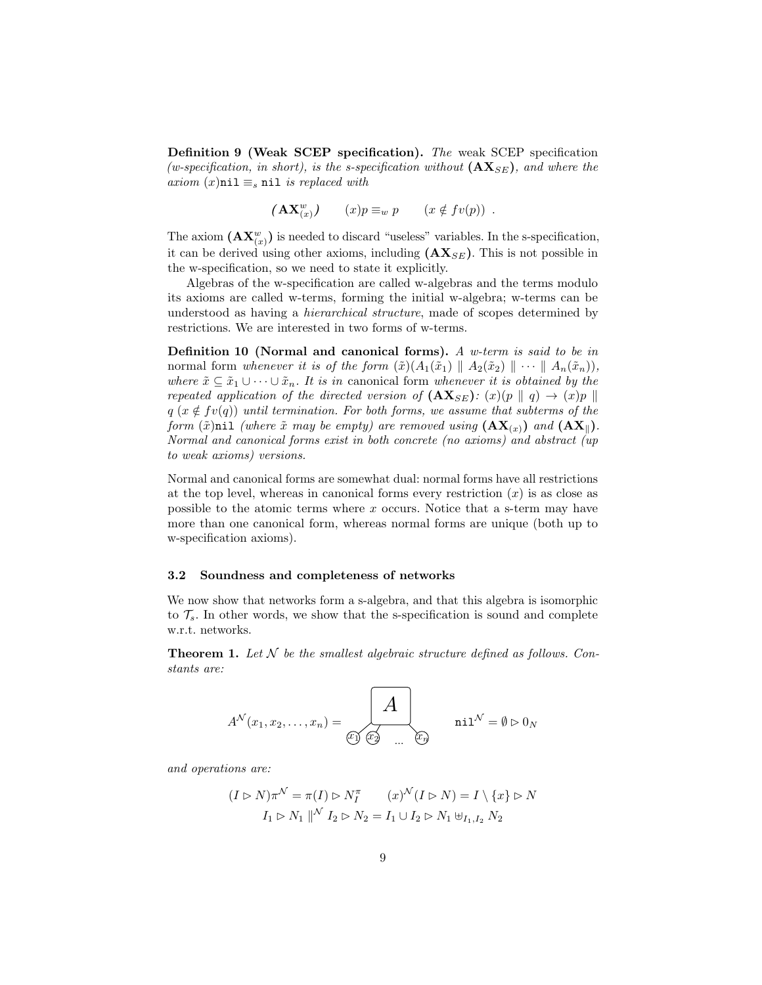Definition 9 (Weak SCEP specification). The weak SCEP specification (w-specification, in short), is the s-specification without  $(\mathbf{AX}_{SE})$ , and where the axiom  $(x)$ nil  $\equiv_s$  nil is replaced with

$$
(\mathbf{AX}_{(x)}^w) \qquad (x)p \equiv_w p \qquad (x \notin fv(p)) \enspace .
$$

The axiom  $(\mathbf{AX}_{(x)}^w)$  is needed to discard "useless" variables. In the s-specification, it can be derived using other axioms, including  $(AX_{SE})$ . This is not possible in the w-specification, so we need to state it explicitly.

Algebras of the w-specification are called w-algebras and the terms modulo its axioms are called w-terms, forming the initial w-algebra; w-terms can be understood as having a hierarchical structure, made of scopes determined by restrictions. We are interested in two forms of w-terms.

**Definition 10 (Normal and canonical forms).** A w-term is said to be in normal form whenever it is of the form  $(\tilde{x}) (A_1(\tilde{x}_1) \parallel A_2(\tilde{x}_2) \parallel \cdots \parallel A_n(\tilde{x}_n)),$ where  $\tilde{x} \subseteq \tilde{x}_1 \cup \cdots \cup \tilde{x}_n$ . It is in canonical form whenever it is obtained by the repeated application of the directed version of  $(AX_{SE})$ :  $(x)(p \parallel q) \rightarrow (x)p \parallel$  $q (x \notin fv(q))$  until termination. For both forms, we assume that subterms of the form  $(\tilde{x})$ nil (where  $\tilde{x}$  may be empty) are removed using  $(AX_{(x)})$  and  $(AX_{\parallel})$ . Normal and canonical forms exist in both concrete (no axioms) and abstract (up to weak axioms) versions.

Normal and canonical forms are somewhat dual: normal forms have all restrictions at the top level, whereas in canonical forms every restriction  $(x)$  is as close as possible to the atomic terms where  $x$  occurs. Notice that a s-term may have more than one canonical form, whereas normal forms are unique (both up to w-specification axioms).

#### 3.2 Soundness and completeness of networks

We now show that networks form a s-algebra, and that this algebra is isomorphic to  $\mathcal{T}_s$ . In other words, we show that the s-specification is sound and complete w.r.t. networks.

**Theorem 1.** Let  $N$  be the smallest algebraic structure defined as follows. Constants are:

$$
A^{\mathcal{N}}(x_1, x_2, \ldots, x_n) = \overbrace{\mathbb{E} \cup \mathbb{E} \mathbb{E} \cup \mathbb{E} \cup \mathbb{E} \cup \mathbb{E} \cup \mathbb{E} \cup \mathbb{E} \cup \mathbb{E} \cup \mathbb{E} \cup \mathbb{E} \cup \mathbb{E} \cup \mathbb{E} \cup \mathbb{E} \cup \mathbb{E} \cup \mathbb{E} \cup \mathbb{E} \cup \mathbb{E} \cup \mathbb{E} \cup \mathbb{E} \cup \mathbb{E} \cup \mathbb{E} \cup \mathbb{E} \cup \mathbb{E} \cup \mathbb{E} \cup \mathbb{E} \cup \mathbb{E} \cup \mathbb{E} \cup \mathbb{E} \cup \mathbb{E} \cup \mathbb{E} \cup \mathbb{E} \cup \mathbb{E} \cup \mathbb{E} \cup \mathbb{E} \cup \mathbb{E} \cup \mathbb{E} \cup \mathbb{E} \cup \mathbb{E} \cup \mathbb{E} \cup \mathbb{E} \cup \mathbb{E} \cup \mathbb{E} \cup \mathbb{E} \cup \mathbb{E} \cup \mathbb{E} \cup \mathbb{E} \cup \mathbb{E} \cup \mathbb{E} \cup \mathbb{E} \cup \mathbb{E} \cup \mathbb{E} \cup \mathbb{E} \cup \mathbb{E} \cup \mathbb{E} \cup \mathbb{E} \cup \mathbb{E} \cup \mathbb{E} \cup \mathbb{E} \cup \mathbb{E} \cup \mathbb{E} \cup \mathbb{E} \cup \mathbb{E} \cup \mathbb{E} \cup \mathbb{E} \cup \mathbb{E} \cup \mathbb{E} \cup \mathbb{E} \cup \mathbb{E} \cup \mathbb{E} \cup \mathbb{E} \cup \mathbb{E} \cup \mathbb{E} \cup \mathbb{E} \cup \mathbb{E} \cup \mathbb{E} \cup \mathbb{E} \cup \mathbb{E} \cup \mathbb{E} \cup \mathbb{E} \cup \mathbb{E} \cup \mathbb{E} \cup \mathbb{E} \cup \mathbb{E} \cup \mathbb{E} \cup \mathbb{E} \cup \mathbb{E} \cup \mathbb{E} \cup \mathbb{E} \cup \mathbb{E} \cup \mathbb{E} \cup \mathbb{E
$$

and operations are:

$$
(I \rhd N)\pi^{\mathcal{N}} = \pi(I) \rhd N_I^{\pi} \qquad (x)^{\mathcal{N}}(I \rhd N) = I \setminus \{x\} \rhd N
$$

$$
I_1 \rhd N_1 \parallel^{\mathcal{N}} I_2 \rhd N_2 = I_1 \cup I_2 \rhd N_1 \uplus_{I_1, I_2} N_2
$$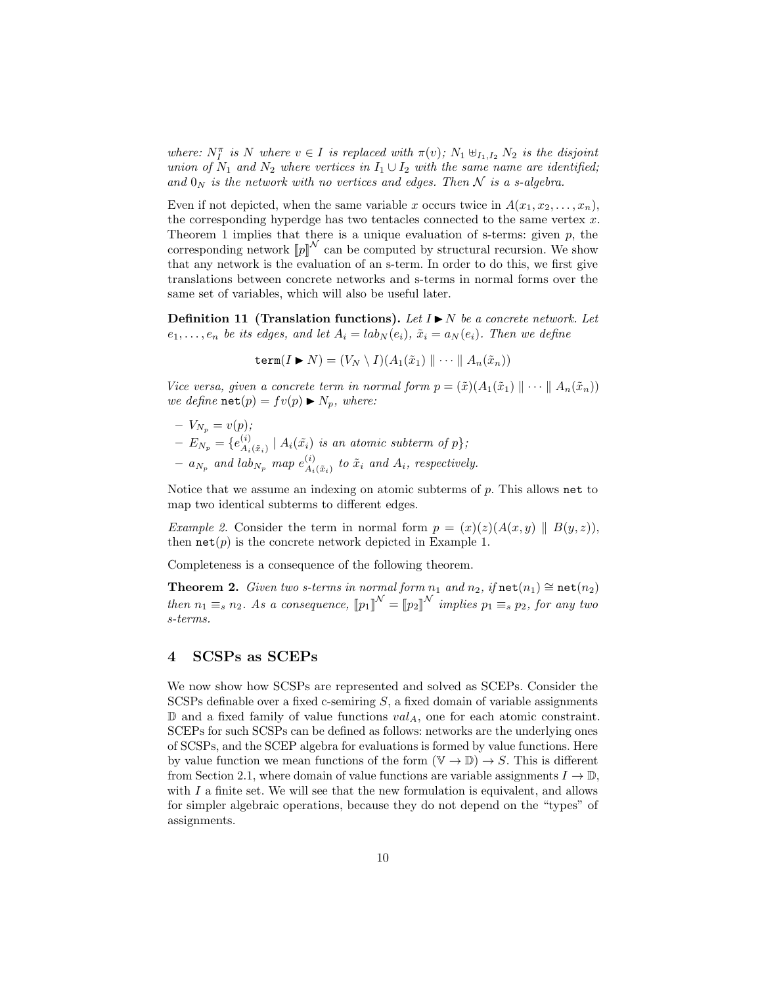where:  $N_I^{\pi}$  is N where  $v \in I$  is replaced with  $\pi(v)$ ;  $N_1 \uplus_{I_1, I_2} N_2$  is the disjoint union of  $N_1$  and  $N_2$  where vertices in  $I_1 \cup I_2$  with the same name are identified; and  $0_N$  is the network with no vertices and edges. Then N is a s-algebra.

Even if not depicted, when the same variable x occurs twice in  $A(x_1, x_2, \ldots, x_n)$ , the corresponding hyperdge has two tentacles connected to the same vertex  $x$ . Theorem 1 implies that there is a unique evaluation of s-terms: given  $p$ , the corresponding network  $[\![p]\!]^{\mathcal{N}}$  can be computed by structural recursion. We show that any network is the evaluation of an s-term. In order to do this, we first give translations between concrete networks and s-terms in normal forms over the same set of variables, which will also be useful later.

**Definition 11 (Translation functions).** Let  $I \triangleright N$  be a concrete network. Let  $e_1, \ldots, e_n$  be its edges, and let  $A_i = lab_N(e_i)$ ,  $\tilde{x}_i = a_N(e_i)$ . Then we define

$$
\mathtt{term}(I \blacktriangleright N) = (V_N \setminus I)(A_1(\tilde{x}_1) \parallel \cdots \parallel A_n(\tilde{x}_n))
$$

Vice versa, given a concrete term in normal form  $p = (\tilde{x})(A_1(\tilde{x}_1) \parallel \cdots \parallel A_n(\tilde{x}_n))$ we define  $\texttt{net}(p) = fv(p) \blacktriangleright N_p$ , where:

 $-V_{N_p} = v(p);$  $E_{N_p} = \{e_{A_i}^{(i)}\}$  $A_i(x_i)$  |  $A_i(\tilde{x}_i)$  is an atomic subterm of  $p\}$ ;  $- a_{N_p}$  and lab<sub>N<sub>p</sub></sub> map  $e_{A_i}^{(i)}$  $\mathcal{L}_{A_i(\tilde{x}_i)}^{(i)}$  to  $\tilde{x}_i$  and  $A_i$ , respectively.

Notice that we assume an indexing on atomic subterms of  $p$ . This allows net to map two identical subterms to different edges.

*Example 2.* Consider the term in normal form  $p = (x)(z)(A(x, y) \parallel B(y, z)),$ then  $\texttt{net}(p)$  is the concrete network depicted in Example 1.

Completeness is a consequence of the following theorem.

Theorem 2. Given two s-terms in normal form  $n_1$  and  $n_2$ , if  $\text{net}(n_1) \cong \text{net}(n_2)$ then  $n_1 \equiv_s n_2$ . As a consequence,  $[\![p_1]\!]^{\mathcal{N}} = [\![p_2]\!]^{\mathcal{N}}$  implies  $p_1 \equiv_s p_2$ , for any two s-terms.

#### 4 SCSPs as SCEPs

We now show how SCSPs are represented and solved as SCEPs. Consider the SCSPs definable over a fixed c-semiring  $S$ , a fixed domain of variable assignments  $D$  and a fixed family of value functions  $val_A$ , one for each atomic constraint. SCEPs for such SCSPs can be defined as follows: networks are the underlying ones of SCSPs, and the SCEP algebra for evaluations is formed by value functions. Here by value function we mean functions of the form  $(\mathbb{V} \to \mathbb{D}) \to S$ . This is different from Section 2.1, where domain of value functions are variable assignments  $I \to \mathbb{D}$ , with  $I$  a finite set. We will see that the new formulation is equivalent, and allows for simpler algebraic operations, because they do not depend on the "types" of assignments.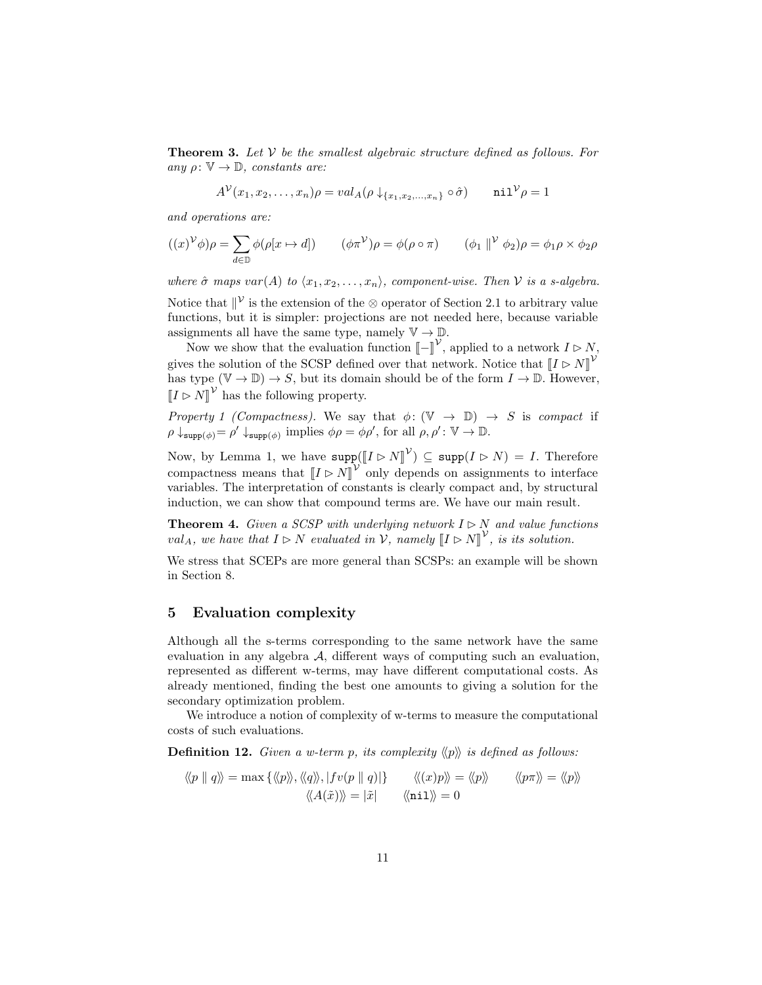**Theorem 3.** Let  $V$  be the smallest algebraic structure defined as follows. For any  $\rho: \mathbb{V} \to \mathbb{D}$ , constants are:

$$
A^{\mathcal{V}}(x_1, x_2, \dots, x_n)\rho = val_A(\rho \downarrow_{\{x_1, x_2, \dots, x_n\}} \circ \hat{\sigma}) \quad \text{nil}^{\mathcal{V}} \rho = 1
$$

and operations are:

$$
((x)^{\mathcal{V}}\phi)\rho = \sum_{d \in \mathbb{D}} \phi(\rho[x \mapsto d]) \qquad (\phi \pi^{\mathcal{V}})\rho = \phi(\rho \circ \pi) \qquad (\phi_1 \parallel^{\mathcal{V}} \phi_2)\rho = \phi_1 \rho \times \phi_2 \rho
$$

where  $\hat{\sigma}$  maps var(A) to  $\langle x_1, x_2, \ldots, x_n \rangle$ , component-wise. Then V is a s-algebra.

Notice that  $\mathbb{I}^{\mathcal{V}}$  is the extension of the ⊗ operator of Section 2.1 to arbitrary value functions, but it is simpler: projections are not needed here, because variable assignments all have the same type, namely  $\mathbb{V} \to \mathbb{D}$ .

Now we show that the evaluation function  $\left[-\right]^{\mathcal{V}}$ , applied to a network  $I \triangleright N$ , gives the solution of the SCSP defined over that network. Notice that  $[[I \triangleright N]]^{\mathcal{V}}$ has type  $(\mathbb{V} \to \mathbb{D}) \to S$ , but its domain should be of the form  $I \to \mathbb{D}$ . However,  $[I \triangleright N]^{\mathcal{V}}$  has the following property.

Property 1 (Compactness). We say that  $\phi: (\mathbb{V} \to \mathbb{D}) \to S$  is compact if  $\rho \downarrow_{\text{supp}(\phi)} = \rho' \downarrow_{\text{supp}(\phi)}$  implies  $\phi \rho = \phi \rho'$ , for all  $\rho, \rho' : \mathbb{V} \to \mathbb{D}$ .

Now, by Lemma 1, we have  $\text{supp}([\![I \rhd N]\!]^\mathcal{V}) \subseteq \text{supp}(I \rhd N) = I$ . Therefore compactness means that  $[I \triangleright N]^{\mathcal{V}}$  only depends on assignments to interface<br>variables. The interpretation of constants is clearly compact and by structural variables. The interpretation of constants is clearly compact and, by structural induction, we can show that compound terms are. We have our main result.

**Theorem 4.** Given a SCSP with underlying network  $I \triangleright N$  and value functions  $val_A$ , we have that  $I \rhd N$  evaluated in  $V$ , namely  $[I \rhd N]^V$ , is its solution.

We stress that SCEPs are more general than SCSPs: an example will be shown in Section 8.

#### 5 Evaluation complexity

Although all the s-terms corresponding to the same network have the same evaluation in any algebra A, different ways of computing such an evaluation, represented as different w-terms, may have different computational costs. As already mentioned, finding the best one amounts to giving a solution for the secondary optimization problem.

We introduce a notion of complexity of w-terms to measure the computational costs of such evaluations.

**Definition 12.** Given a w-term p, its complexity  $\langle p \rangle$  is defined as follows:

$$
\langle p \parallel q \rangle = \max \{ \langle p \rangle, \langle q \rangle, |fv(p \parallel q)| \} \qquad \langle \langle x \rangle p \rangle = \langle \langle p \rangle \rangle \qquad \langle \langle p \pi \rangle \rangle = \langle \langle p \rangle \rangle
$$

$$
\langle \langle A(\tilde{x}) \rangle \rangle = |\tilde{x}| \qquad \langle \langle \text{nil} \rangle \rangle = 0
$$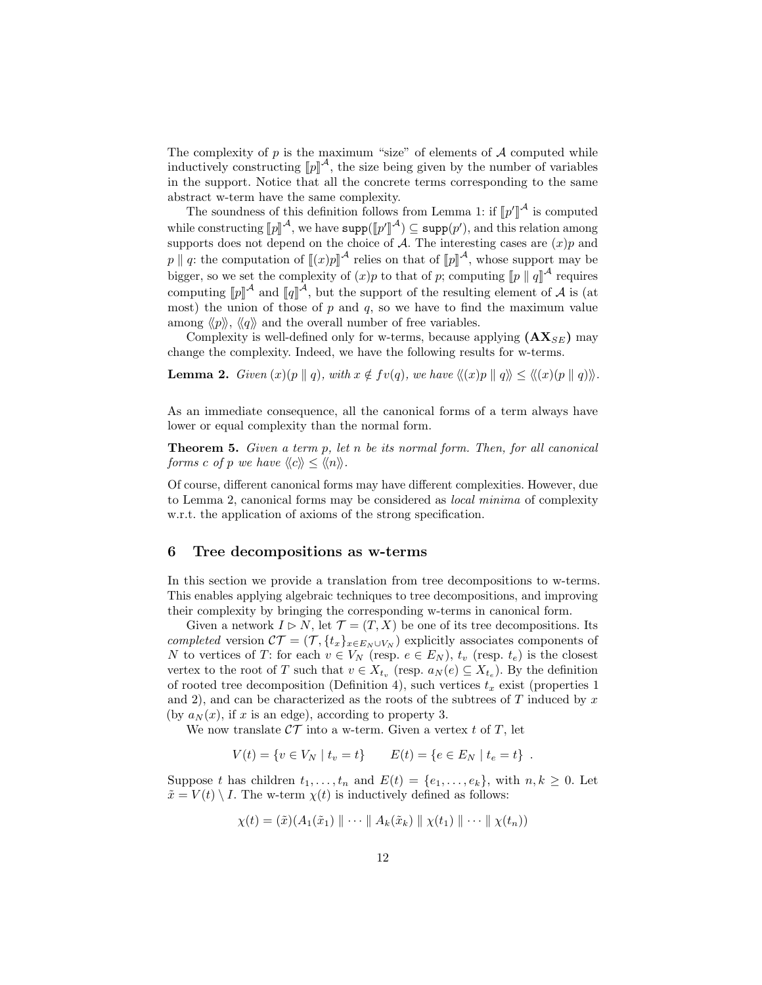The complexity of  $p$  is the maximum "size" of elements of  $A$  computed while inductively constructing  $[\![p]\!]^A$ , the size being given by the number of variables<br>in the support. Notice that all the concrete terms corresponding to the same in the support. Notice that all the concrete terms corresponding to the same abstract w-term have the same complexity.

The soundness of this definition follows from Lemma 1: if  $[\![p']\!]^{\mathcal{A}}$  is computed<br>be constructing  $[\![u]\!]^{\mathcal{A}}$  are here some  $([\![u']\!]^{\mathcal{A}}) \subseteq \text{sum}(u')$  and this solation superpose while constructing  $[p]^A$ , we have  $\text{supp}([p']^A) \subseteq \text{supp}(p')$ , and this supports does not depend on the choice of A. The interesting aggregation u<br>J  $\mathcal{A}$ )  $\subseteq$  supp $(p')$ , and this relation among supports does not depend on the choice of  $A$ . The interesting cases are  $(x)p$  and p  $\|p\|$  a: the computation of  $\left[\![(x)p\right]\!]^{\mathcal{A}}$  relies on that of  $\left[\![p]\right]\!]^{\mathcal{A}}$ , whose support may be bigger, so we set the complexity of  $(x)p$  to that of p; computing  $[p \mid q]^A$  requires computing  $[\![p]\!]^{\mathcal{A}}$  and  $[\![q]\!]^{\mathcal{A}}$ , but the support of the resulting element of  $\mathcal{A}$  is (at most) the union of these of n and  $q$ , so we have to find the maximum value most) the union of those of  $p$  and  $q$ , so we have to find the maximum value among  $\langle p \rangle, \langle q \rangle$  and the overall number of free variables.

Complexity is well-defined only for w-terms, because applying  $(AX_{SE})$  may change the complexity. Indeed, we have the following results for w-terms.

**Lemma 2.** Given  $(x)(p || q)$ , with  $x \notin fv(q)$ , we have  $\langle (x)p || q \rangle \leq \langle (x)(p || q) \rangle$ .

As an immediate consequence, all the canonical forms of a term always have lower or equal complexity than the normal form.

Theorem 5. Given a term p, let n be its normal form. Then, for all canonical forms c of p we have  $\langle\langle c \rangle\rangle \leq \langle\langle n \rangle\rangle$ .

Of course, different canonical forms may have different complexities. However, due to Lemma 2, canonical forms may be considered as local minima of complexity w.r.t. the application of axioms of the strong specification.

## 6 Tree decompositions as w-terms

In this section we provide a translation from tree decompositions to w-terms. This enables applying algebraic techniques to tree decompositions, and improving their complexity by bringing the corresponding w-terms in canonical form.

Given a network  $I \triangleright N$ , let  $\mathcal{T} = (T, X)$  be one of its tree decompositions. Its completed version  $CT = (\mathcal{T}, \{t_x\}_{x \in E_N \cup V_N})$  explicitly associates components of N to vertices of T: for each  $v \in V_N$  (resp.  $e \in E_N$ ),  $t_v$  (resp.  $t_e$ ) is the closest vertex to the root of T such that  $v \in X_{t_v}$  (resp.  $a_N(e) \subseteq X_{t_e}$ ). By the definition of rooted tree decomposition (Definition 4), such vertices  $t_x$  exist (properties 1 and 2), and can be characterized as the roots of the subtrees of  $T$  induced by  $x$ (by  $a_N(x)$ , if x is an edge), according to property 3.

We now translate  $\mathcal{CT}$  into a w-term. Given a vertex t of T, let

$$
V(t) = \{ v \in V_N \mid t_v = t \} \qquad E(t) = \{ e \in E_N \mid t_e = t \} .
$$

Suppose t has children  $t_1, \ldots, t_n$  and  $E(t) = \{e_1, \ldots, e_k\}$ , with  $n, k \geq 0$ . Let  $\tilde{x} = V(t) \setminus I$ . The w-term  $\chi(t)$  is inductively defined as follows:

$$
\chi(t) = (\tilde{x})(A_1(\tilde{x}_1) \parallel \cdots \parallel A_k(\tilde{x}_k) \parallel \chi(t_1) \parallel \cdots \parallel \chi(t_n))
$$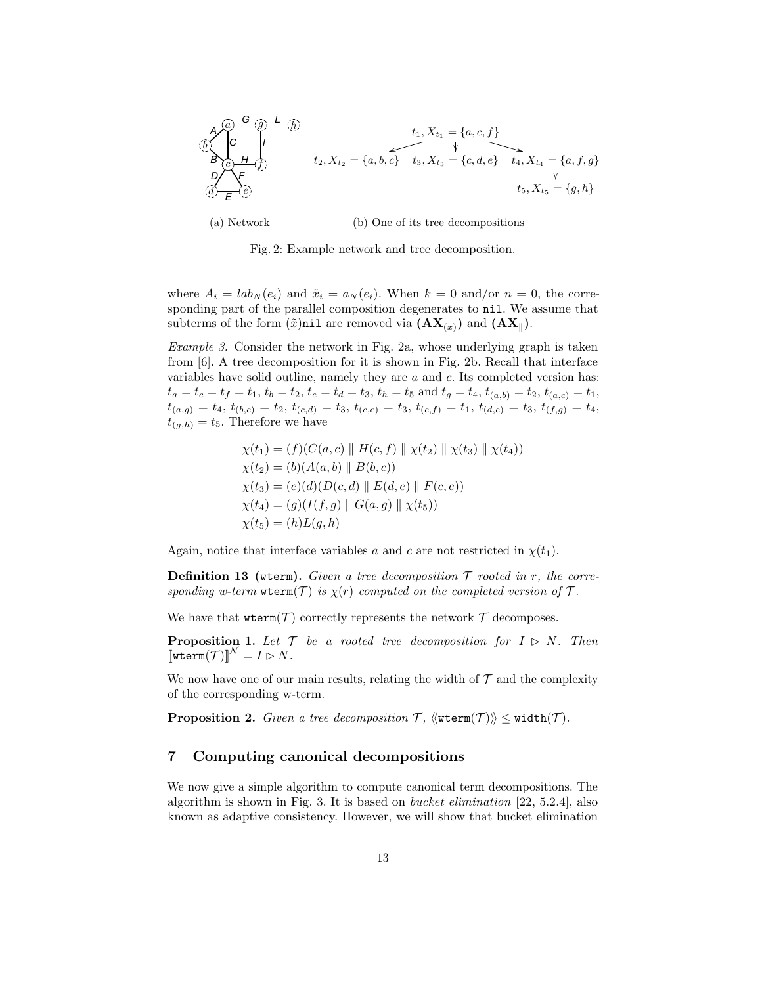

(a) Network (b) One of its tree decompositions

Fig. 2: Example network and tree decomposition.

where  $A_i = lab_N(e_i)$  and  $\tilde{x}_i = a_N(e_i)$ . When  $k = 0$  and/or  $n = 0$ , the corresponding part of the parallel composition degenerates to nil. We assume that subterms of the form  $(\tilde{x})$ nil are removed via  $(AX_{(x)})$  and  $(AX_{\parallel})$ .

Example 3. Consider the network in Fig. 2a, whose underlying graph is taken from [6]. A tree decomposition for it is shown in Fig. 2b. Recall that interface variables have solid outline, namely they are  $a$  and  $c$ . Its completed version has:  $t_a = t_c = t_f = t_1, t_b = t_2, t_e = t_d = t_3, t_h = t_5$  and  $t_g = t_4, t_{(a,b)} = t_2, t_{(a,c)} = t_1$ ,  $t_{(a,g)} = t_4, t_{(b,c)} = t_2, t_{(c,d)} = t_3, t_{(c,e)} = t_3, t_{(c,f)} = t_1, t_{(d,e)} = t_3, t_{(f,g)} = t_4,$  $t_{(q,h)} = t_5$ . Therefore we have

$$
\chi(t_1) = (f)(C(a, c) \parallel H(c, f) \parallel \chi(t_2) \parallel \chi(t_3) \parallel \chi(t_4))
$$
  
\n
$$
\chi(t_2) = (b)(A(a, b) \parallel B(b, c))
$$
  
\n
$$
\chi(t_3) = (e)(d)(D(c, d) \parallel E(d, e) \parallel F(c, e))
$$
  
\n
$$
\chi(t_4) = (g)(I(f, g) \parallel G(a, g) \parallel \chi(t_5))
$$
  
\n
$$
\chi(t_5) = (h)L(g, h)
$$

Again, notice that interface variables a and c are not restricted in  $\chi(t_1)$ .

**Definition 13** (wterm). Given a tree decomposition  $\mathcal T$  rooted in r, the corresponding w-term wterm(T) is  $\chi(r)$  computed on the completed version of T.

We have that  $\text{wterm}(\mathcal{T})$  correctly represents the network  $\mathcal{T}$  decomposes.

**Proposition 1.** Let  $\mathcal{T}$  be a rooted tree decomposition for  $I \triangleright N$ . Then  $\llbracket \texttt{wterm}(\mathcal{T}) \rrbracket^{\mathcal{N}} = I \triangleright N.$ 

We now have one of our main results, relating the width of  $\mathcal T$  and the complexity of the corresponding w-term.

**Proposition 2.** Given a tree decomposition  $T$ ,  $\langle \text{wterm}(T) \rangle \leq \text{width}(T)$ .

# 7 Computing canonical decompositions

We now give a simple algorithm to compute canonical term decompositions. The algorithm is shown in Fig. 3. It is based on bucket elimination [22, 5.2.4], also known as adaptive consistency. However, we will show that bucket elimination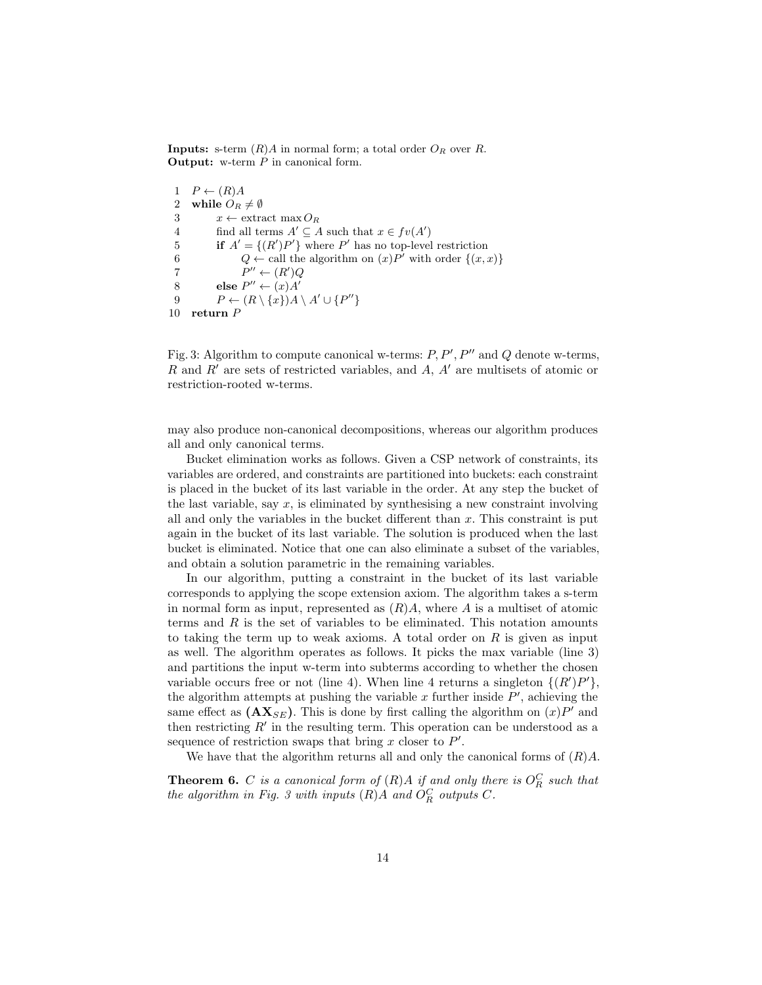**Inputs:** s-term  $(R)A$  in normal form; a total order  $O_R$  over  $R$ . **Output:** w-term  $P$  in canonical form.

 $1 \quad P \leftarrow (R)A$ 2 while  $O_R \neq \emptyset$ 3  $x \leftarrow \text{extract } \max O_R$ 4 find all terms  $A' \subseteq A$  such that  $x \in fv(A')$ 5 if  $A' = \{(R')P'\}$  where P' has no top-level restriction 6  $Q \leftarrow$  call the algorithm on  $(x)P'$  with order  $\{(x,x)\}\$ 7  $P'' \leftarrow (R')Q$ 8 else  $P'' \leftarrow (x)A'$ 9  $P \leftarrow (R \setminus \{x\})A \setminus A' \cup \{P''\}$ 10 return P

Fig. 3: Algorithm to compute canonical w-terms:  $P, P', P''$  and  $Q$  denote w-terms,  $R$  and  $R'$  are sets of restricted variables, and  $A$ ,  $A'$  are multisets of atomic or restriction-rooted w-terms.

may also produce non-canonical decompositions, whereas our algorithm produces all and only canonical terms.

Bucket elimination works as follows. Given a CSP network of constraints, its variables are ordered, and constraints are partitioned into buckets: each constraint is placed in the bucket of its last variable in the order. At any step the bucket of the last variable, say  $x$ , is eliminated by synthesising a new constraint involving all and only the variables in the bucket different than  $x$ . This constraint is put again in the bucket of its last variable. The solution is produced when the last bucket is eliminated. Notice that one can also eliminate a subset of the variables, and obtain a solution parametric in the remaining variables.

In our algorithm, putting a constraint in the bucket of its last variable corresponds to applying the scope extension axiom. The algorithm takes a s-term in normal form as input, represented as  $(R)A$ , where A is a multiset of atomic terms and  $R$  is the set of variables to be eliminated. This notation amounts to taking the term up to weak axioms. A total order on  $R$  is given as input as well. The algorithm operates as follows. It picks the max variable (line 3) and partitions the input w-term into subterms according to whether the chosen variable occurs free or not (line 4). When line 4 returns a singleton  $\{(R')P'\},\$ the algorithm attempts at pushing the variable  $x$  further inside  $P'$ , achieving the same effect as  $(AX_{SE})$ . This is done by first calling the algorithm on  $(x)P'$  and then restricting  $R'$  in the resulting term. This operation can be understood as a sequence of restriction swaps that bring  $x$  closer to  $P'$ .

We have that the algorithm returns all and only the canonical forms of  $(R)A$ .

**Theorem 6.** C is a canonical form of  $(R)A$  if and only there is  $O_R^C$  such that the algorithm in Fig. 3 with inputs  $(R)A$  and  $O_R^C$  outputs  $C$ .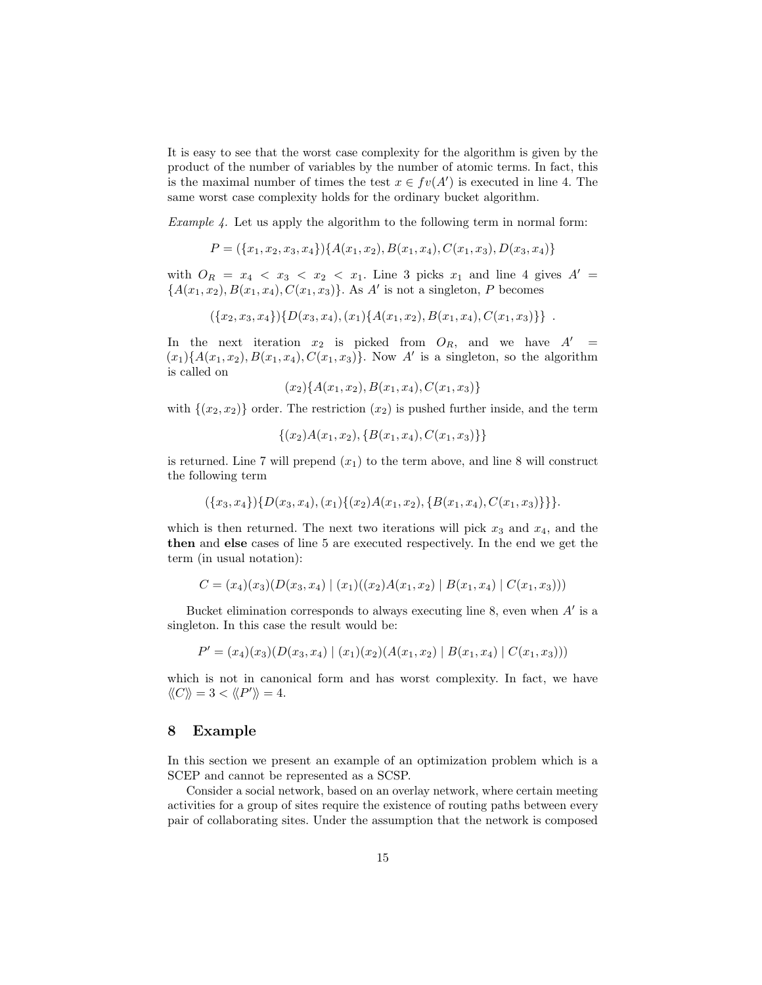It is easy to see that the worst case complexity for the algorithm is given by the product of the number of variables by the number of atomic terms. In fact, this is the maximal number of times the test  $x \in fv(A')$  is executed in line 4. The same worst case complexity holds for the ordinary bucket algorithm.

Example 4. Let us apply the algorithm to the following term in normal form:

$$
P = (\{x_1, x_2, x_3, x_4\})\{A(x_1, x_2), B(x_1, x_4), C(x_1, x_3), D(x_3, x_4)\}
$$

with  $O_R = x_4 < x_3 < x_2 < x_1$ . Line 3 picks  $x_1$  and line 4 gives  $A' =$  ${A(x_1, x_2), B(x_1, x_4), C(x_1, x_3)}$ . As A' is not a singleton, P becomes

$$
(\{x_2,x_3,x_4\})\{D(x_3,x_4),(x_1)\{A(x_1,x_2),B(x_1,x_4),C(x_1,x_3)\}\}.
$$

In the next iteration  $x_2$  is picked from  $O_R$ , and we have  $A' =$  $(x_1) \{A(x_1, x_2), B(x_1, x_4), C(x_1, x_3)\}.$  Now A' is a singleton, so the algorithm is called on

$$
(x_2)\{A(x_1,x_2),B(x_1,x_4),C(x_1,x_3)\}\
$$

with  $\{(x_2, x_2)\}\$  order. The restriction  $(x_2)$  is pushed further inside, and the term

$$
\{(x_2)A(x_1,x_2),\{B(x_1,x_4),C(x_1,x_3)\}\}\
$$

is returned. Line 7 will prepend  $(x_1)$  to the term above, and line 8 will construct the following term

$$
(\{x_3,x_4\})\{D(x_3,x_4),(x_1)\{(x_2)A(x_1,x_2),\{B(x_1,x_4),C(x_1,x_3)\}\}.
$$

which is then returned. The next two iterations will pick  $x_3$  and  $x_4$ , and the then and else cases of line 5 are executed respectively. In the end we get the term (in usual notation):

$$
C = (x_4)(x_3)(D(x_3, x_4) | (x_1)((x_2)A(x_1, x_2) | B(x_1, x_4) | C(x_1, x_3)))
$$

Bucket elimination corresponds to always executing line  $8$ , even when  $A'$  is a singleton. In this case the result would be:

$$
P' = (x_4)(x_3)(D(x_3, x_4) | (x_1)(x_2)(A(x_1, x_2) | B(x_1, x_4) | C(x_1, x_3)))
$$

which is not in canonical form and has worst complexity. In fact, we have  $\langle\!\langle C \rangle\!\rangle = 3 < \langle\!\langle P' \rangle\!\rangle = 4.$ 

# 8 Example

In this section we present an example of an optimization problem which is a SCEP and cannot be represented as a SCSP.

Consider a social network, based on an overlay network, where certain meeting activities for a group of sites require the existence of routing paths between every pair of collaborating sites. Under the assumption that the network is composed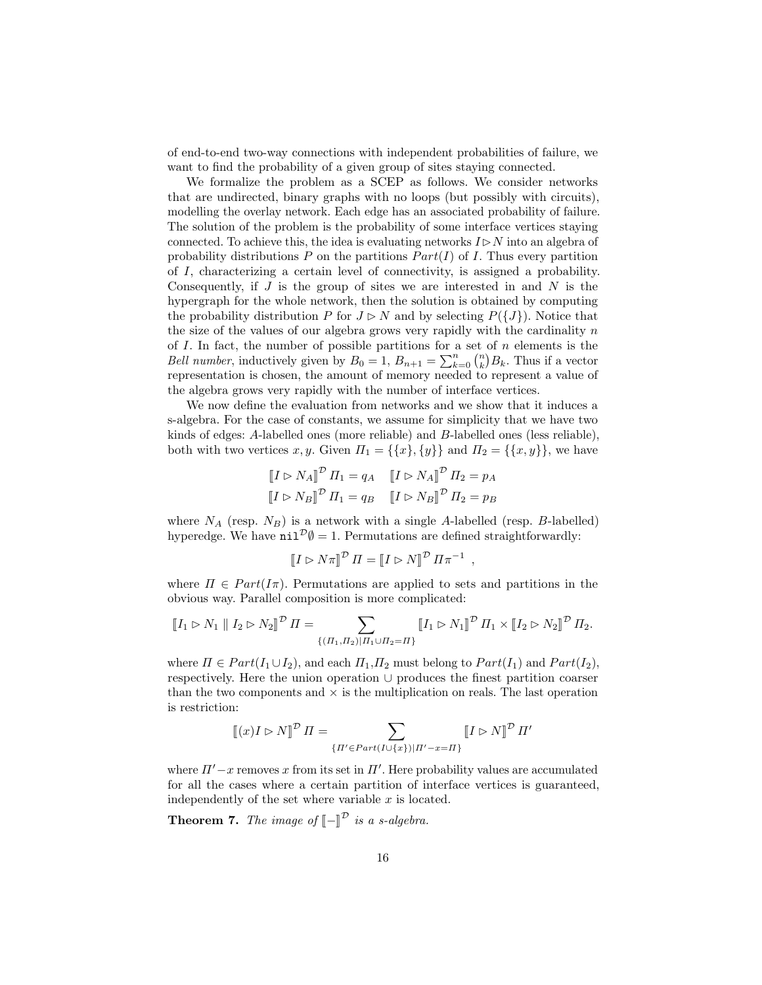of end-to-end two-way connections with independent probabilities of failure, we want to find the probability of a given group of sites staying connected.

We formalize the problem as a SCEP as follows. We consider networks that are undirected, binary graphs with no loops (but possibly with circuits), modelling the overlay network. Each edge has an associated probability of failure. The solution of the problem is the probability of some interface vertices staying connected. To achieve this, the idea is evaluating networks  $I\triangleright N$  into an algebra of probability distributions P on the partitions  $Part(I)$  of I. Thus every partition of I, characterizing a certain level of connectivity, is assigned a probability. Consequently, if  $J$  is the group of sites we are interested in and  $N$  is the hypergraph for the whole network, then the solution is obtained by computing the probability distribution P for  $J \triangleright N$  and by selecting  $P({J}).$  Notice that the size of the values of our algebra grows very rapidly with the cardinality  $n$ of I. In fact, the number of possible partitions for a set of  $n$  elements is the *Bell number*, inductively given by  $B_0 = 1$ ,  $B_{n+1} = \sum_{k=0}^{n} {n \choose k} B_k$ . Thus if a vector representation is chosen, the amount of memory needed to represent a value of the algebra grows very rapidly with the number of interface vertices.

We now define the evaluation from networks and we show that it induces a s-algebra. For the case of constants, we assume for simplicity that we have two kinds of edges: A-labelled ones (more reliable) and B-labelled ones (less reliable), both with two vertices x, y. Given  $\Pi_1 = \{\{x\}, \{y\}\}\$ and  $\Pi_2 = \{\{x, y\}\}\$ , we have

$$
\begin{aligned} \llbracket I \rhd N_A \rrbracket^{\mathcal{D}} \, \Pi_1 = q_A \quad \llbracket I \rhd N_A \rrbracket^{\mathcal{D}} \, \Pi_2 = p_A \\ \llbracket I \rhd N_B \rrbracket^{\mathcal{D}} \, \Pi_1 = q_B \quad \llbracket I \rhd N_B \rrbracket^{\mathcal{D}} \, \Pi_2 = p_B \end{aligned}
$$

where  $N_A$  (resp.  $N_B$ ) is a network with a single A-labelled (resp. B-labelled) hyperedge. We have  $\text{nil}^{\mathcal{D}}\emptyset = 1$ . Permutations are defined straightforwardly:

$$
\llbracket I \rhd N\pi \rrbracket^{\mathcal{D}} \, \Pi = \llbracket I \rhd N \rrbracket^{\mathcal{D}} \, \Pi\pi^{-1} \, ,
$$

where  $\Pi \in Part(I\pi)$ . Permutations are applied to sets and partitions in the obvious way. Parallel composition is more complicated:

$$
\llbracket I_1 \rhd N_1 \parallel I_2 \rhd N_2 \rrbracket^{\mathcal{D}} \Pi = \sum_{\{(H_1, H_2) | H_1 \cup H_2 = \Pi\}} \llbracket I_1 \rhd N_1 \rrbracket^{\mathcal{D}} \Pi_1 \times \llbracket I_2 \rhd N_2 \rrbracket^{\mathcal{D}} \Pi_2.
$$

where  $\Pi \in Part(I_1 \cup I_2)$ , and each  $\Pi_1, \Pi_2$  must belong to  $Part(I_1)$  and  $Part(I_2)$ , respectively. Here the union operation ∪ produces the finest partition coarser than the two components and  $\times$  is the multiplication on reals. The last operation is restriction:

$$
\llbracket (x)I \rhd N \rrbracket^{\mathcal{D}} \, \Pi = \sum_{\{ \Pi' \in Part(I \cup \{x\}) \mid \Pi' - x = \Pi \}} \llbracket I \rhd N \rrbracket^{\mathcal{D}} \, \Pi'
$$

where  $\Pi' - x$  removes x from its set in  $\Pi'$ . Here probability values are accumulated for all the cases where a certain partition of interface vertices is guaranteed, independently of the set where variable  $x$  is located.

**Theorem 7.** The image of  $\llbracket - \rrbracket^{\mathcal{D}}$  is a s-algebra.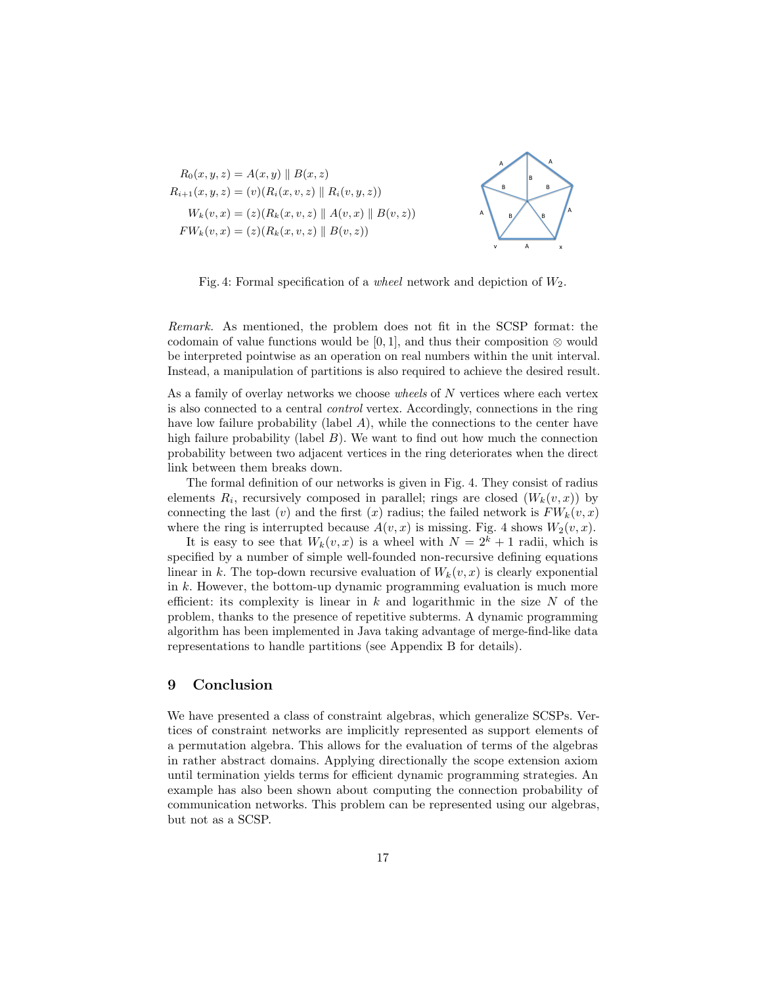



Fig. 4: Formal specification of a *wheel* network and depiction of  $W_2$ .

Remark. As mentioned, the problem does not fit in the SCSP format: the codomain of value functions would be [0, 1], and thus their composition  $\otimes$  would be interpreted pointwise as an operation on real numbers within the unit interval. Instead, a manipulation of partitions is also required to achieve the desired result.

As a family of overlay networks we choose *wheels* of N vertices where each vertex is also connected to a central control vertex. Accordingly, connections in the ring have low failure probability (label  $A$ ), while the connections to the center have high failure probability (label  $B$ ). We want to find out how much the connection probability between two adjacent vertices in the ring deteriorates when the direct link between them breaks down.

The formal definition of our networks is given in Fig. 4. They consist of radius elements  $R_i$ , recursively composed in parallel; rings are closed  $(W_k(v, x))$  by connecting the last  $(v)$  and the first  $(x)$  radius; the failed network is  $FW_k(v, x)$ where the ring is interrupted because  $A(v, x)$  is missing. Fig. 4 shows  $W_2(v, x)$ .

It is easy to see that  $W_k(v, x)$  is a wheel with  $N = 2^k + 1$  radii, which is specified by a number of simple well-founded non-recursive defining equations linear in k. The top-down recursive evaluation of  $W_k(v, x)$  is clearly exponential in  $k$ . However, the bottom-up dynamic programming evaluation is much more efficient: its complexity is linear in  $k$  and logarithmic in the size  $N$  of the problem, thanks to the presence of repetitive subterms. A dynamic programming algorithm has been implemented in Java taking advantage of merge-find-like data representations to handle partitions (see Appendix B for details).

## 9 Conclusion

We have presented a class of constraint algebras, which generalize SCSPs. Vertices of constraint networks are implicitly represented as support elements of a permutation algebra. This allows for the evaluation of terms of the algebras in rather abstract domains. Applying directionally the scope extension axiom until termination yields terms for efficient dynamic programming strategies. An example has also been shown about computing the connection probability of communication networks. This problem can be represented using our algebras, but not as a SCSP.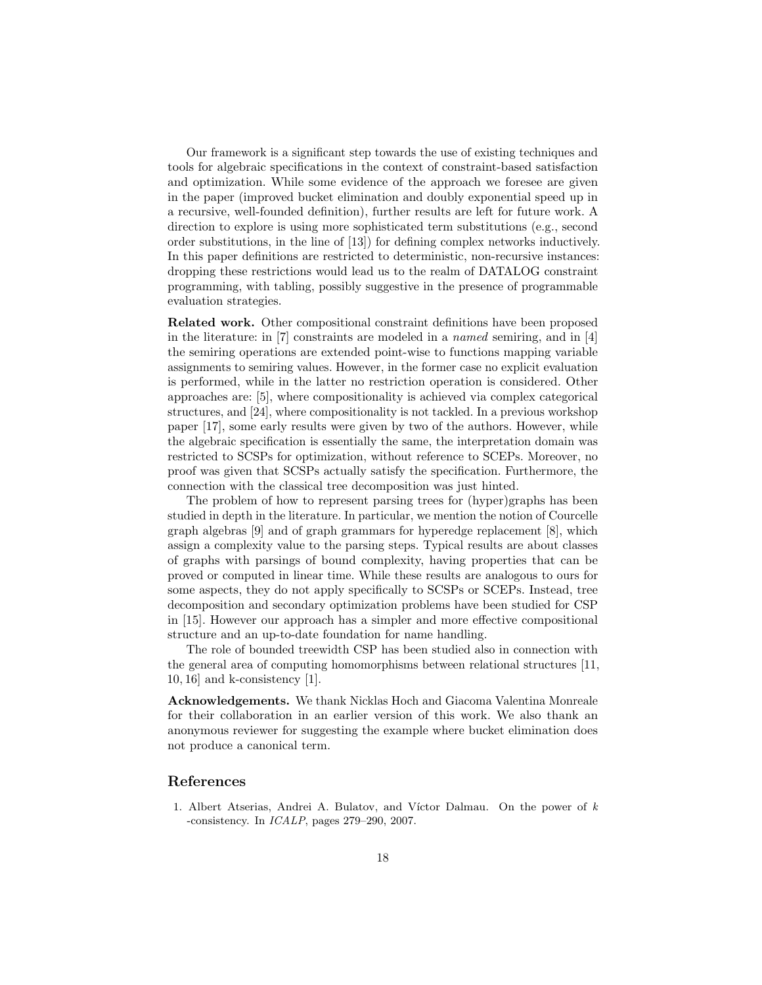Our framework is a significant step towards the use of existing techniques and tools for algebraic specifications in the context of constraint-based satisfaction and optimization. While some evidence of the approach we foresee are given in the paper (improved bucket elimination and doubly exponential speed up in a recursive, well-founded definition), further results are left for future work. A direction to explore is using more sophisticated term substitutions (e.g., second order substitutions, in the line of [13]) for defining complex networks inductively. In this paper definitions are restricted to deterministic, non-recursive instances: dropping these restrictions would lead us to the realm of DATALOG constraint programming, with tabling, possibly suggestive in the presence of programmable evaluation strategies.

Related work. Other compositional constraint definitions have been proposed in the literature: in [7] constraints are modeled in a named semiring, and in [4] the semiring operations are extended point-wise to functions mapping variable assignments to semiring values. However, in the former case no explicit evaluation is performed, while in the latter no restriction operation is considered. Other approaches are: [5], where compositionality is achieved via complex categorical structures, and [24], where compositionality is not tackled. In a previous workshop paper [17], some early results were given by two of the authors. However, while the algebraic specification is essentially the same, the interpretation domain was restricted to SCSPs for optimization, without reference to SCEPs. Moreover, no proof was given that SCSPs actually satisfy the specification. Furthermore, the connection with the classical tree decomposition was just hinted.

The problem of how to represent parsing trees for (hyper)graphs has been studied in depth in the literature. In particular, we mention the notion of Courcelle graph algebras [9] and of graph grammars for hyperedge replacement [8], which assign a complexity value to the parsing steps. Typical results are about classes of graphs with parsings of bound complexity, having properties that can be proved or computed in linear time. While these results are analogous to ours for some aspects, they do not apply specifically to SCSPs or SCEPs. Instead, tree decomposition and secondary optimization problems have been studied for CSP in [15]. However our approach has a simpler and more effective compositional structure and an up-to-date foundation for name handling.

The role of bounded treewidth CSP has been studied also in connection with the general area of computing homomorphisms between relational structures [11, 10, 16] and k-consistency [1].

Acknowledgements. We thank Nicklas Hoch and Giacoma Valentina Monreale for their collaboration in an earlier version of this work. We also thank an anonymous reviewer for suggesting the example where bucket elimination does not produce a canonical term.

### References

1. Albert Atserias, Andrei A. Bulatov, and Víctor Dalmau. On the power of  $k$ -consistency. In ICALP, pages 279–290, 2007.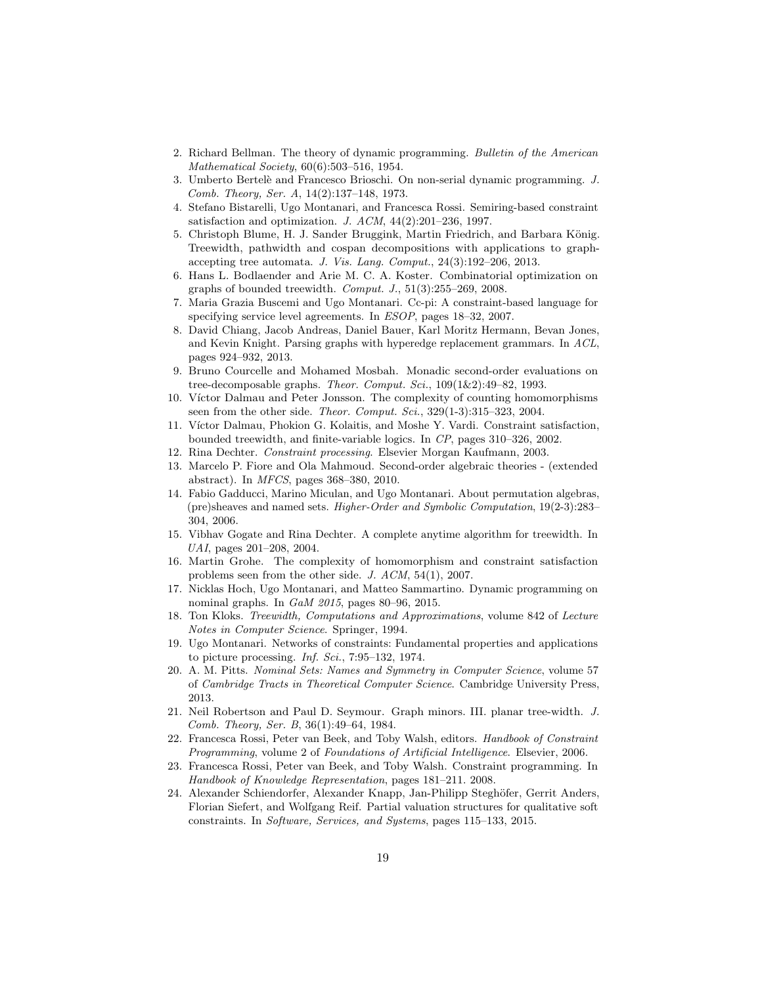- 2. Richard Bellman. The theory of dynamic programming. Bulletin of the American Mathematical Society, 60(6):503–516, 1954.
- 3. Umberto Bertel`e and Francesco Brioschi. On non-serial dynamic programming. J. Comb. Theory, Ser. A, 14(2):137–148, 1973.
- 4. Stefano Bistarelli, Ugo Montanari, and Francesca Rossi. Semiring-based constraint satisfaction and optimization. J.  $ACM$ ,  $44(2):201-236$ , 1997.
- 5. Christoph Blume, H. J. Sander Bruggink, Martin Friedrich, and Barbara König. Treewidth, pathwidth and cospan decompositions with applications to graphaccepting tree automata. J. Vis. Lang. Comput., 24(3):192–206, 2013.
- 6. Hans L. Bodlaender and Arie M. C. A. Koster. Combinatorial optimization on graphs of bounded treewidth.  $Comput. J., 51(3):255-269, 2008$ .
- 7. Maria Grazia Buscemi and Ugo Montanari. Cc-pi: A constraint-based language for specifying service level agreements. In ESOP, pages 18–32, 2007.
- 8. David Chiang, Jacob Andreas, Daniel Bauer, Karl Moritz Hermann, Bevan Jones, and Kevin Knight. Parsing graphs with hyperedge replacement grammars. In ACL, pages 924–932, 2013.
- 9. Bruno Courcelle and Mohamed Mosbah. Monadic second-order evaluations on tree-decomposable graphs. Theor. Comput. Sci., 109(1&2):49-82, 1993.
- 10. Víctor Dalmau and Peter Jonsson. The complexity of counting homomorphisms seen from the other side. *Theor. Comput. Sci.*, 329(1-3):315-323, 2004.
- 11. Víctor Dalmau, Phokion G. Kolaitis, and Moshe Y. Vardi. Constraint satisfaction, bounded treewidth, and finite-variable logics. In CP, pages 310–326, 2002.
- 12. Rina Dechter. Constraint processing. Elsevier Morgan Kaufmann, 2003.
- 13. Marcelo P. Fiore and Ola Mahmoud. Second-order algebraic theories (extended abstract). In MFCS, pages 368–380, 2010.
- 14. Fabio Gadducci, Marino Miculan, and Ugo Montanari. About permutation algebras, (pre)sheaves and named sets. Higher-Order and Symbolic Computation, 19(2-3):283– 304, 2006.
- 15. Vibhav Gogate and Rina Dechter. A complete anytime algorithm for treewidth. In UAI, pages 201–208, 2004.
- 16. Martin Grohe. The complexity of homomorphism and constraint satisfaction problems seen from the other side. J. ACM, 54(1), 2007.
- 17. Nicklas Hoch, Ugo Montanari, and Matteo Sammartino. Dynamic programming on nominal graphs. In GaM 2015, pages 80–96, 2015.
- 18. Ton Kloks. Treewidth, Computations and Approximations, volume 842 of Lecture Notes in Computer Science. Springer, 1994.
- 19. Ugo Montanari. Networks of constraints: Fundamental properties and applications to picture processing. Inf. Sci.,  $7:95-132$ , 1974.
- 20. A. M. Pitts. Nominal Sets: Names and Symmetry in Computer Science, volume 57 of Cambridge Tracts in Theoretical Computer Science. Cambridge University Press, 2013.
- 21. Neil Robertson and Paul D. Seymour. Graph minors. III. planar tree-width. J. Comb. Theory, Ser. B, 36(1):49–64, 1984.
- 22. Francesca Rossi, Peter van Beek, and Toby Walsh, editors. Handbook of Constraint Programming, volume 2 of Foundations of Artificial Intelligence. Elsevier, 2006.
- 23. Francesca Rossi, Peter van Beek, and Toby Walsh. Constraint programming. In Handbook of Knowledge Representation, pages 181–211. 2008.
- 24. Alexander Schiendorfer, Alexander Knapp, Jan-Philipp Steghöfer, Gerrit Anders, Florian Siefert, and Wolfgang Reif. Partial valuation structures for qualitative soft constraints. In Software, Services, and Systems, pages 115–133, 2015.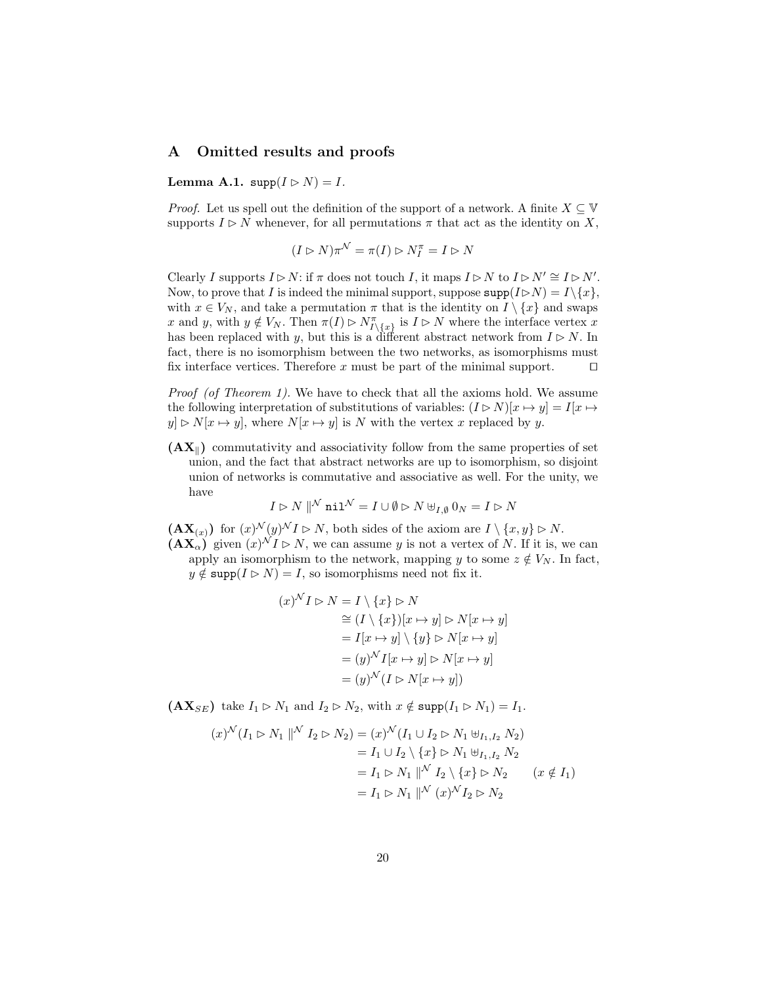#### A Omitted results and proofs

Lemma A.1.  $\text{supp}(I \triangleright N) = I$ .

*Proof.* Let us spell out the definition of the support of a network. A finite  $X \subseteq \mathbb{V}$ supports  $I \triangleright N$  whenever, for all permutations  $\pi$  that act as the identity on X,

$$
(I \rhd N)\pi^{\mathcal{N}} = \pi(I) \rhd N_I^{\pi} = I \rhd N
$$

Clearly I supports  $I \triangleright N$ : if  $\pi$  does not touch I, it maps  $I \triangleright N$  to  $I \triangleright N' \cong I \triangleright N'$ . Now, to prove that I is indeed the minimal support, suppose  $\text{supp}(I \triangleright N) = I \setminus \{x\},\$ with  $x \in V_N$ , and take a permutation  $\pi$  that is the identity on  $I \setminus \{x\}$  and swaps x and y, with  $y \notin V_N$ . Then  $\pi(I) \rhd N_{I\setminus\{x\}}^{\pi}$  is  $I \rhd N$  where the interface vertex x has been replaced with y, but this is a different abstract network from  $I \triangleright N$ . In fact, there is no isomorphism between the two networks, as isomorphisms must fix interface vertices. Therefore x must be part of the minimal support.  $\square$ 

Proof (of Theorem 1). We have to check that all the axioms hold. We assume the following interpretation of substitutions of variables:  $(I \triangleright N)[x \mapsto y] = I[x \mapsto$  $y \in N[x \mapsto y]$ , where  $N[x \mapsto y]$  is N with the vertex x replaced by y.

 $(AX_{\parallel})$  commutativity and associativity follow from the same properties of set union, and the fact that abstract networks are up to isomorphism, so disjoint union of networks is commutative and associative as well. For the unity, we have

$$
I \rhd N \parallel^{\textstyle \mathcal N} \textstyle{\mathbf{nil}}^{\mathcal N} = I \cup \emptyset \rhd N \uplus_{I,\emptyset} 0_N = I \rhd N
$$

 $(\mathbf{AX}_{(x)})$  for  $(x)^{\mathcal{N}}(y)^{\mathcal{N}}I \triangleright N$ , both sides of the axiom are  $I \setminus \{x, y\} \triangleright N$ .  $(\mathbf{AX}_{\alpha})^{\prime}$  given  $(x)^{\mathcal{N}}I \triangleright N$ , we can assume y is not a vertex of N. If it is, we can apply an isomorphism to the network, mapping y to some  $z \notin V_N$ . In fact,  $y \notin \text{supp}(I \triangleright N) = I$ , so isomorphisms need not fix it.

$$
(x)^{N} I \rhd N = I \setminus \{x\} \rhd N
$$
  
\n
$$
\cong (I \setminus \{x\})[x \mapsto y] \rhd N[x \mapsto y]
$$
  
\n
$$
= I[x \mapsto y] \setminus \{y\} \rhd N[x \mapsto y]
$$
  
\n
$$
= (y)^{N} I[x \mapsto y] \rhd N[x \mapsto y]
$$
  
\n
$$
= (y)^{N} (I \rhd N[x \mapsto y])
$$

 $(AX_{SE})$  take  $I_1 \triangleright N_1$  and  $I_2 \triangleright N_2$ , with  $x \notin \text{supp}(I_1 \triangleright N_1) = I_1$ .

$$
(x)^{\mathcal{N}}(I_1 \rhd N_1 \parallel^{\mathcal{N}} I_2 \rhd N_2) = (x)^{\mathcal{N}}(I_1 \cup I_2 \rhd N_1 \uplus_{I_1, I_2} N_2)
$$
  
\n
$$
= I_1 \cup I_2 \setminus \{x\} \rhd N_1 \uplus_{I_1, I_2} N_2
$$
  
\n
$$
= I_1 \rhd N_1 \parallel^{\mathcal{N}} I_2 \setminus \{x\} \rhd N_2 \qquad (x \notin I_1)
$$
  
\n
$$
= I_1 \rhd N_1 \parallel^{\mathcal{N}} (x)^{\mathcal{N}} I_2 \rhd N_2
$$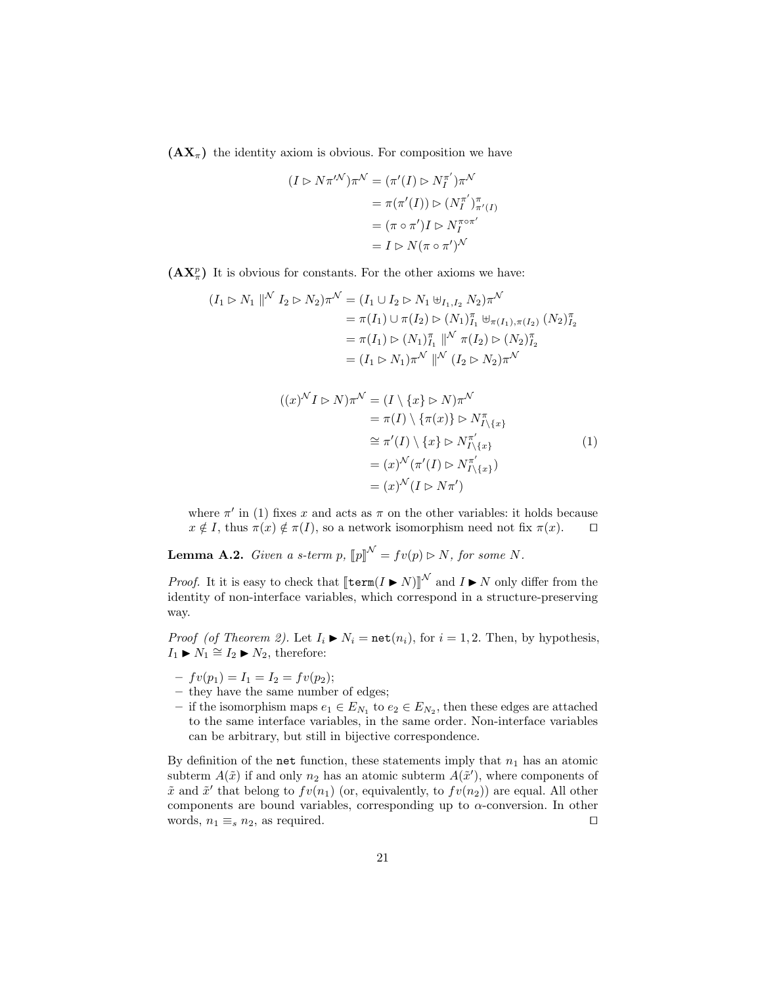$(AX_\pi)$  the identity axiom is obvious. For composition we have

$$
(I \rhd N\pi^{\prime N})\pi^{\mathcal{N}} = (\pi'(I) \rhd N_I^{\pi'})\pi^{\mathcal{N}}
$$

$$
= \pi(\pi'(I)) \rhd (N_I^{\pi'})_{\pi'(I)}^{\pi}
$$

$$
= (\pi \circ \pi')I \rhd N_I^{\pi \circ \pi'}
$$

$$
= I \rhd N(\pi \circ \pi')^{\mathcal{N}}
$$

 $(AX_{\pi}^p)$  It is obvious for constants. For the other axioms we have:

$$
(I_1 \rhd N_1 \rVert^N I_2 \rhd N_2) \pi^N = (I_1 \cup I_2 \rhd N_1 \uplus_{I_1, I_2} N_2) \pi^N
$$
  
=  $\pi(I_1) \cup \pi(I_2) \rhd (N_1)_{I_1}^{\pi} \uplus_{\pi(I_1), \pi(I_2)} (N_2)_{I_2}^{\pi}$   
=  $\pi(I_1) \rhd (N_1)_{I_1}^{\pi} \rVert^N \pi(I_2) \rhd (N_2)_{I_2}^{\pi}$   
=  $(I_1 \rhd N_1) \pi^N \rVert^N (I_2 \rhd N_2) \pi^N$ 

$$
((x)^{\mathcal{N}}I \rhd N)\pi^{\mathcal{N}} = (I \setminus \{x\} \rhd N)\pi^{\mathcal{N}}
$$
  
\n
$$
= \pi(I) \setminus \{\pi(x)\} \rhd N_{I \setminus \{x\}}^{\pi}
$$
  
\n
$$
\cong \pi'(I) \setminus \{x\} \rhd N_{I \setminus \{x\}}^{\pi'} \tag{1}
$$
  
\n
$$
= (x)^{\mathcal{N}}(\pi'(I) \rhd N_{I \setminus \{x\}}^{\pi'})
$$
  
\n
$$
= (x)^{\mathcal{N}}(I \rhd N\pi')
$$

where  $\pi'$  in (1) fixes x and acts as  $\pi$  on the other variables: it holds because  $x \notin I$ , thus  $\pi(x) \notin \pi(I)$ , so a network isomorphism need not fix  $\pi(x)$ .  $\Box$ 

**Lemma A.2.** Given a s-term p,  $[\![p]\!]^{\mathcal{N}} = fv(p) \triangleright N$ , for some N.

*Proof.* It it is easy to check that  $\llbracket \text{term}(I \blacktriangleright N) \rrbracket^N$  and  $I \blacktriangleright N$  only differ from the identity of non-interface variables, which correspond in a structure proserving identity of non-interface variables, which correspond in a structure-preserving way.

*Proof (of Theorem 2).* Let  $I_i \triangleright N_i = \text{net}(n_i)$ , for  $i = 1, 2$ . Then, by hypothesis,  $I_1 \triangleright N_1 \cong I_2 \triangleright N_2$ , therefore:

- $-fv(p_1) = I_1 = I_2 = fv(p_2);$
- they have the same number of edges;
- − if the isomorphism maps  $e_1 \in E_{N_1}$  to  $e_2 \in E_{N_2}$ , then these edges are attached to the same interface variables, in the same order. Non-interface variables can be arbitrary, but still in bijective correspondence.

By definition of the net function, these statements imply that  $n_1$  has an atomic subterm  $A(\tilde{x})$  if and only  $n_2$  has an atomic subterm  $A(\tilde{x}')$ , where components of  $\tilde{x}$  and  $\tilde{x}'$  that belong to  $fv(n_1)$  (or, equivalently, to  $fv(n_2)$ ) are equal. All other components are bound variables, corresponding up to  $\alpha$ -conversion. In other words,  $n_1 \equiv_s n_2$ , as required.  $\square$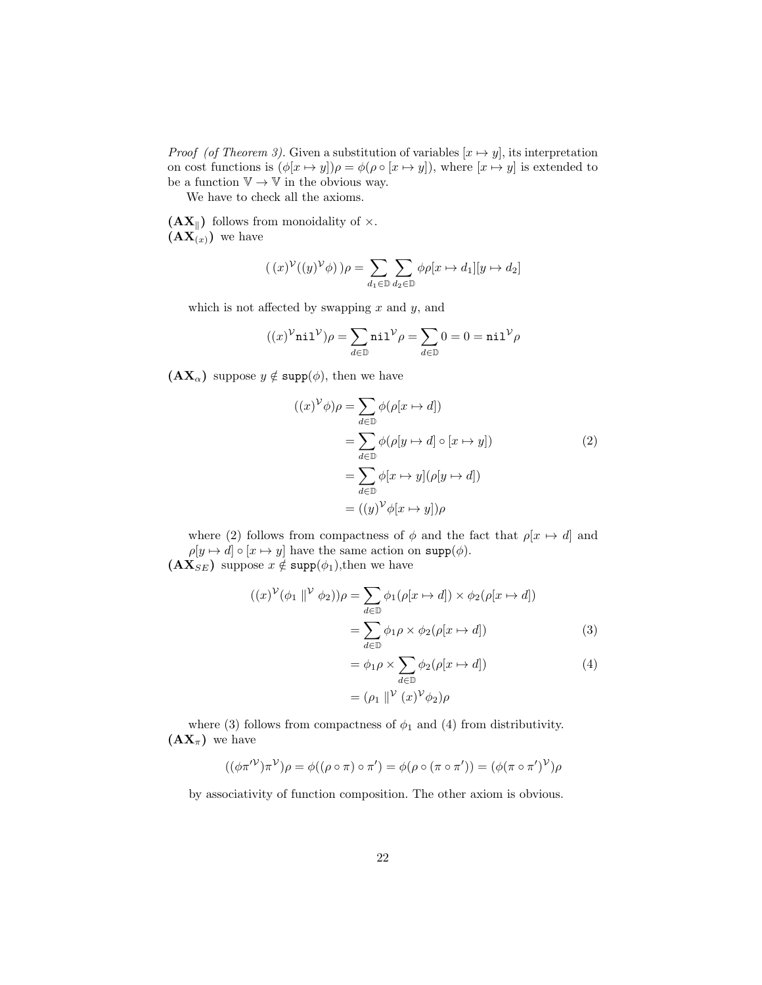*Proof (of Theorem 3).* Given a substitution of variables  $[x \mapsto y]$ , its interpretation on cost functions is  $(\phi[x \mapsto y])\rho = \phi(\rho \circ [x \mapsto y])$ , where  $[x \mapsto y]$  is extended to be a function  $\mathbb{V} \to \mathbb{V}$  in the obvious way.

We have to check all the axioms.

 $(AX_{\parallel})$  follows from monoidality of  $\times$ .  $(\mathbf{AX}_{(x)})$  we have

$$
((x)^{\mathcal{V}}((y)^{\mathcal{V}}\phi))\rho = \sum_{d_1 \in \mathbb{D}} \sum_{d_2 \in \mathbb{D}} \phi \rho[x \mapsto d_1][y \mapsto d_2]
$$

which is not affected by swapping  $x$  and  $y$ , and

$$
((x)^{\mathcal{V}}\texttt{nil}^{\mathcal{V}})\rho = \sum_{d\in \mathbb{D}} \texttt{nil}^{\mathcal{V}}\rho = \sum_{d\in \mathbb{D}} 0 = 0 = \texttt{nil}^{\mathcal{V}}\rho
$$

 $(AX_{\alpha})$  suppose  $y \notin \text{supp}(\phi)$ , then we have

$$
((x)^{\mathcal{V}}\phi)\rho = \sum_{d\in\mathbb{D}} \phi(\rho[x \mapsto d])
$$
  
= 
$$
\sum_{d\in\mathbb{D}} \phi(\rho[y \mapsto d] \circ [x \mapsto y])
$$
  
= 
$$
\sum_{d\in\mathbb{D}} \phi[x \mapsto y](\rho[y \mapsto d])
$$
  
= 
$$
((y)^{\mathcal{V}}\phi[x \mapsto y])\rho
$$
 (2)

where (2) follows from compactness of  $\phi$  and the fact that  $\rho[x \mapsto d]$  and  $\rho[y \mapsto d] \circ [x \mapsto y]$  have the same action on  $\text{supp}(\phi)$ .  $(AX_{SE})$  suppose  $x \notin \text{supp}(\phi_1)$ , then we have

$$
((x)^{\mathcal{V}}(\phi_1 \parallel^{\mathcal{V}} \phi_2))\rho = \sum_{d \in \mathbb{D}} \phi_1(\rho[x \mapsto d]) \times \phi_2(\rho[x \mapsto d])
$$

$$
= \sum_{d \in \mathbb{D}} \phi_1 \rho \times \phi_2(\rho[x \mapsto d])
$$
(3)

$$
= \phi_1 \rho \times \sum_{d \in \mathbb{D}} \phi_2(\rho[x \mapsto d])
$$
\n
$$
= (\rho_1 \parallel^{\mathcal{V}} (x)^{\mathcal{V}} \phi_2) \rho
$$
\n(4)

where (3) follows from compactness of  $\phi_1$  and (4) from distributivity.  $(\mathbf{AX}_{\pi})$  we have

$$
((\phi\pi^{\prime\prime})\pi^{\prime\prime})\rho = \phi((\rho \circ \pi) \circ \pi^{\prime}) = \phi(\rho \circ (\pi \circ \pi^{\prime})) = (\phi(\pi \circ \pi^{\prime})^{\prime\prime})\rho
$$

by associativity of function composition. The other axiom is obvious.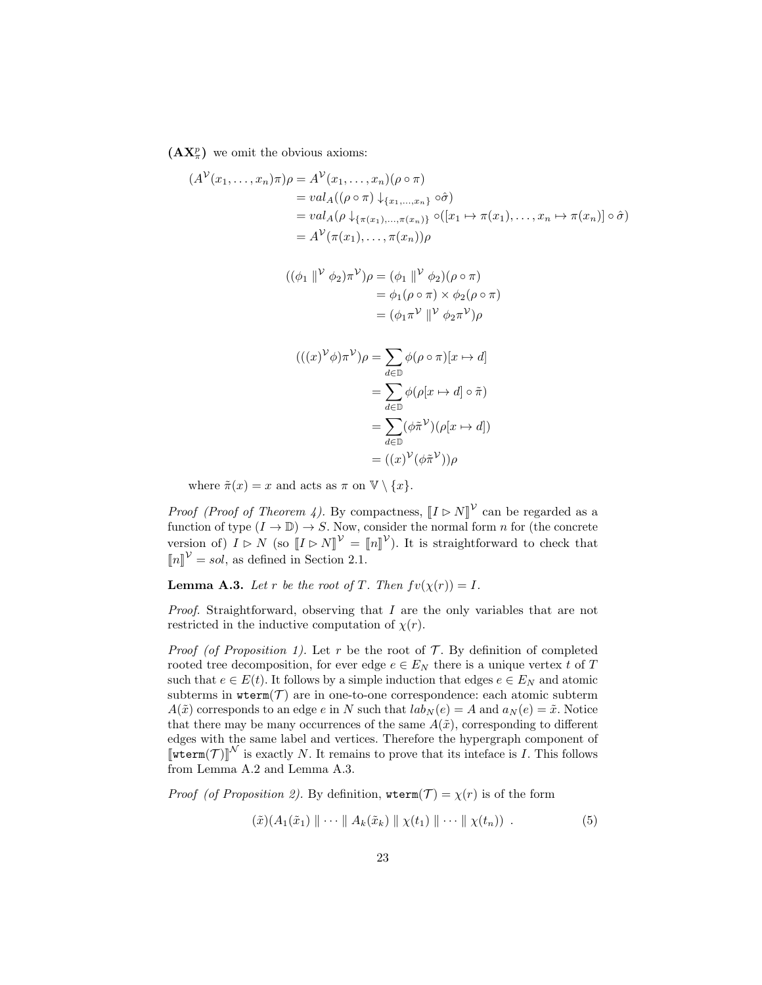$(AX_{\pi}^p)$  we omit the obvious axioms:

$$
(AV(x1,...,xn)\pi)\rho = AV(x1,...,xn)(\rho \circ \pi)
$$
  
= val<sub>A</sub>((\rho \circ \pi) \downarrow {x<sub>1</sub>,...,x<sub>n</sub>} \circ \hat{\sigma})  
= val<sub>A</sub>(\rho \downarrow {x<sub>1</sub>,...,x<sub>(x<sub>n</sub>)}</sub>} o([x<sub>1</sub> \rightarrow \pi(x<sub>1</sub>),...,x<sub>n</sub> \rightarrow \pi(x<sub>n</sub>)] \circ \hat{\sigma})  
= A<sup>V</sup>(\pi(x<sub>1</sub>),..., \pi(x<sub>n</sub>))\rho

$$
((\phi_1 \parallel^{\mathcal{V}} \phi_2)\pi^{\mathcal{V}})\rho = (\phi_1 \parallel^{\mathcal{V}} \phi_2)(\rho \circ \pi)
$$
  
=  $\phi_1(\rho \circ \pi) \times \phi_2(\rho \circ \pi)$   
=  $(\phi_1 \pi^{\mathcal{V}} \parallel^{\mathcal{V}} \phi_2 \pi^{\mathcal{V}})\rho$ 

$$
(((x)^{\mathcal{V}}\phi)\pi^{\mathcal{V}})\rho = \sum_{d\in\mathbb{D}} \phi(\rho \circ \pi)[x \mapsto d]
$$

$$
= \sum_{d\in\mathbb{D}} \phi(\rho[x \mapsto d] \circ \tilde{\pi})
$$

$$
= \sum_{d\in\mathbb{D}} (\phi\tilde{\pi}^{\mathcal{V}})(\rho[x \mapsto d])
$$

$$
= ((x)^{\mathcal{V}}(\phi\tilde{\pi}^{\mathcal{V}}))\rho
$$

where  $\tilde{\pi}(x) = x$  and acts as  $\pi$  on  $\mathbb{V} \setminus \{x\}.$ 

*Proof (Proof of Theorem 4).* By compactness,  $[I \triangleright N]^{\mathcal{V}}$  can be regarded as a function of type  $(I \cup \mathbb{R}) \cup S$ . Now, consider the normal form a for (the congrete function of type  $(I \to \mathbb{D}) \to S$ . Now, consider the normal form *n* for (the concrete version of)  $I \triangleright N$  (so  $[I \triangleright N]^{\mathcal{V}} = [n]^{\mathcal{V}}$ ). It is straightforward to check that  $\llbracket n \rrbracket^{\mathcal{V}} = sol$ , as defined in Section 2.1.

**Lemma A.3.** Let r be the root of T. Then  $fv(\chi(r)) = I$ .

Proof. Straightforward, observing that I are the only variables that are not restricted in the inductive computation of  $\chi(r)$ .

*Proof (of Proposition 1).* Let r be the root of  $\mathcal{T}$ . By definition of completed rooted tree decomposition, for ever edge  $e \in E_N$  there is a unique vertex t of T such that  $e \in E(t)$ . It follows by a simple induction that edges  $e \in E_N$  and atomic subterms in  $\texttt{wterm}(\mathcal{T})$  are in one-to-one correspondence: each atomic subterm  $A(\tilde{x})$  corresponds to an edge e in N such that  $lab_N(e) = A$  and  $a_N(e) = \tilde{x}$ . Notice that there may be many occurrences of the same  $A(\tilde{x})$ , corresponding to different edges with the same label and vertices. Therefore the hypergraph component of  $\llbracket \text{wterm}(\mathcal{T}) \rrbracket^{\mathcal{N}}$  is exactly N. It remains to prove that its inteface is I. This follows from Lemma A.2 and Lemma A.3.

*Proof (of Proposition 2)*. By definition,  $\text{wterm}(\mathcal{T}) = \chi(r)$  is of the form

$$
(\tilde{x})(A_1(\tilde{x}_1) \| \cdots \| A_k(\tilde{x}_k) \| \chi(t_1) \| \cdots \| \chi(t_n)) . \tag{5}
$$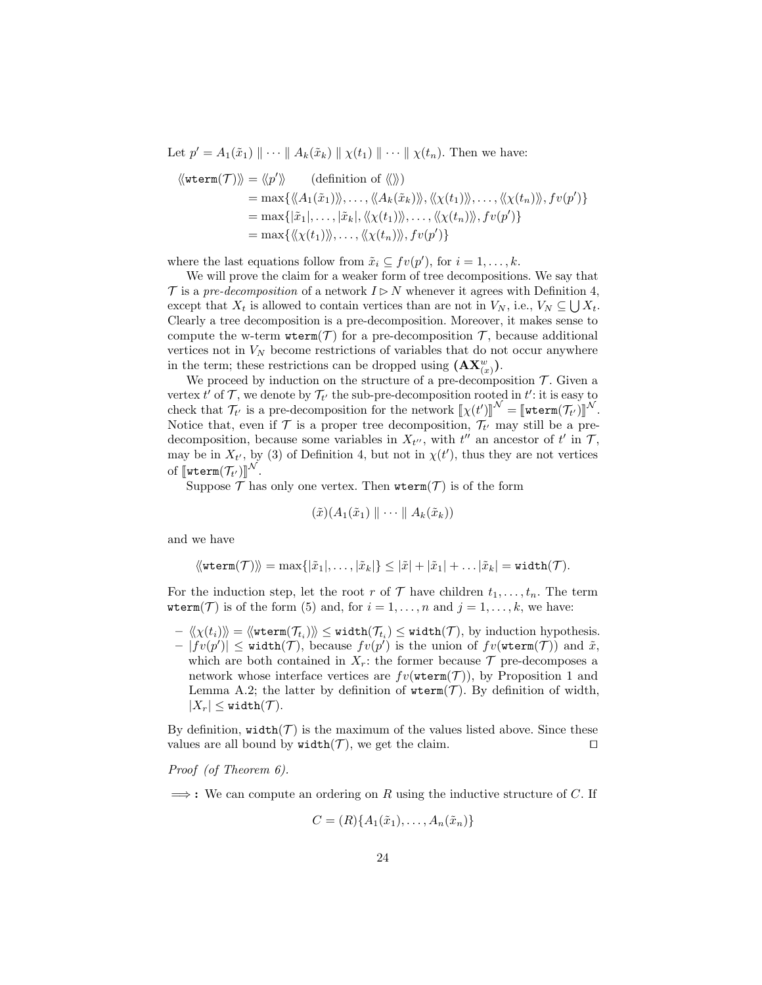Let  $p' = A_1(\tilde{x}_1) \parallel \cdots \parallel A_k(\tilde{x}_k) \parallel \chi(t_1) \parallel \cdots \parallel \chi(t_n)$ . Then we have:

$$
\langle\langle \text{wterm}(\mathcal{T}) \rangle\rangle = \langle p' \rangle \langle \text{definition of } \langle \rangle\rangle
$$
  
\n
$$
= \max \{ \langle A_1(\tilde{x}_1) \rangle, \dots, \langle A_k(\tilde{x}_k) \rangle, \langle \chi(t_1) \rangle, \dots, \langle \chi(t_n) \rangle\rangle, fv(p') \}
$$
  
\n
$$
= \max \{ |\tilde{x}_1|, \dots, |\tilde{x}_k|, \langle \chi(t_1) \rangle, \dots, \langle \chi(t_n) \rangle\rangle, fv(p') \}
$$
  
\n
$$
= \max \{ \langle \chi(t_1) \rangle, \dots, \langle \chi(t_n) \rangle\rangle, fv(p') \}
$$

where the last equations follow from  $\tilde{x}_i \subseteq fv(p')$ , for  $i = 1, ..., k$ .

We will prove the claim for a weaker form of tree decompositions. We say that  $\mathcal T$  is a pre-decomposition of a network  $I \triangleright N$  whenever it agrees with Definition 4, except that  $X_t$  is allowed to contain vertices than are not in  $V_N$ , i.e.,  $V_N \subseteq \bigcup X_t$ . Clearly a tree decomposition is a pre-decomposition. Moreover, it makes sense to compute the w-term  $\text{wterm}(\mathcal{T})$  for a pre-decomposition  $\mathcal{T}$ , because additional vertices not in  $V_N$  become restrictions of variables that do not occur anywhere in the term; these restrictions can be dropped using  $(\mathbf{AX}^w_{(x)})$ .

We proceed by induction on the structure of a pre-decomposition  $\mathcal{T}$ . Given a vertex  $t'$  of  $\mathcal T$ , we denote by  $\mathcal T_{t'}$  the sub-pre-decomposition rooted in  $t'$ : it is easy to check that  $\mathcal{T}_{t'}$  is a pre-decomposition for the network  $[\![\chi(t')]\!]^{\mathcal{N}} = [\![\text{wterm}(\mathcal{T}_{t'})]\!]^{\mathcal{N}}$ .<br>Notice that over if  $\mathcal{T}$  is a proper tree decomposition  $\mathcal{T}_{t}$  may still be a pro-Notice that, even if  $\mathcal T$  is a proper tree decomposition,  $\mathcal T_{t'}$  may still be a predecomposition, because some variables in  $X_{t}$ , with  $t''$  an ancestor of  $t'$  in  $\mathcal{T}$ , may be in  $X_{t'}$ , by (3) of Definition 4, but not in  $\chi(t')$ , thus they are not vertices of  $\llbracket \text{wterm}(\mathcal{T}_{t'}) \rrbracket^{\mathcal{N}}$ .<br>Suppose  $\mathcal{T}$  be

Suppose  $\mathcal T$  has only one vertex. Then  $\texttt{wterm}(\mathcal T)$  is of the form

$$
(\tilde{x})(A_1(\tilde{x}_1) \parallel \cdots \parallel A_k(\tilde{x}_k))
$$

and we have

$$
\langle\!\langle \texttt{wterm}(\mathcal{T}) \rangle\!\rangle = \max\{|\tilde{x}_1|,\ldots,|\tilde{x}_k|\} \leq |\tilde{x}| + |\tilde{x}_1| + \ldots |\tilde{x}_k| = \texttt{width}(\mathcal{T}).
$$

For the induction step, let the root r of  $\mathcal T$  have children  $t_1, \ldots, t_n$ . The term wterm(T) is of the form (5) and, for  $i = 1, ..., n$  and  $j = 1, ..., k$ , we have:

 $-\langle\langle \chi(t_i)\rangle\!\rangle = \langle\!\langle \texttt{wterm}(\mathcal{T}_{t_i})\rangle\!\rangle \leq \texttt{width}(\mathcal{T}_{t_i}) \leq \texttt{width}(\mathcal{T}), \text{ by induction hypothesis}.$  $-|fv(p')| \leq \text{width}(\mathcal{T})$ , because  $fv(p')$  is the union of  $fv(\text{wterm}(\mathcal{T}))$  and  $\tilde{x}$ , which are both contained in  $X_r$ : the former because  $\mathcal T$  pre-decomposes a network whose interface vertices are  $fv(\text{wterm}(\mathcal{T}))$ , by Proposition 1 and Lemma A.2; the latter by definition of  $\text{wterm}(\mathcal{T})$ . By definition of width,  $|X_r| \leq \text{width}(\mathcal{T}).$ 

By definition,  $width(\mathcal{T})$  is the maximum of the values listed above. Since these values are all bound by  $width(\mathcal{T})$ , we get the claim.

Proof (of Theorem 6).

 $\implies$ : We can compute an ordering on R using the inductive structure of C. If

$$
C = (R)\{A_1(\tilde{x}_1), \ldots, A_n(\tilde{x}_n)\}
$$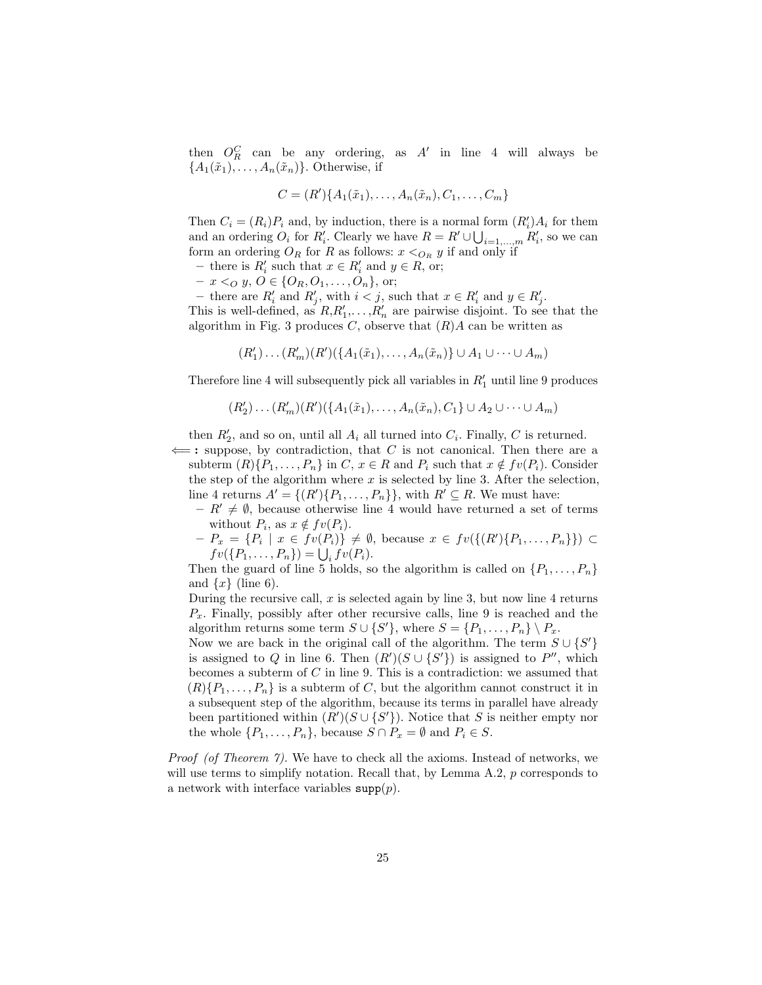then  $O_R^C$  can be any ordering, as  $A'$  in line 4 will always be  ${A_1(\tilde{x}_1), \ldots, A_n(\tilde{x}_n)}$ . Otherwise, if

$$
C = (R')\{A_1(\tilde{x}_1), \dots, A_n(\tilde{x}_n), C_1, \dots, C_m\}
$$

Then  $C_i = (R_i)P_i$  and, by induction, there is a normal form  $(R'_i)A_i$  for them and an ordering  $O_i$  for  $R'_i$ . Clearly we have  $R = R' \cup \bigcup_{i=1,\dots,m} R'_i$ , so we can form an ordering  $O_R$  for R as follows:  $x <_{O_R} y$  if and only if

- − there is  $R'_i$  such that  $x \in R'_i$  and  $y \in R$ , or;
- $x <_Q y, O \in \{O_R, O_1, \ldots, O_n\},$  or;

- there are  $R'_i$  and  $R'_j$ , with  $i < j$ , such that  $x \in R'_i$  and  $y \in R'_j$ . This is well-defined, as  $R, R'_1, \ldots, R'_n$  are pairwise disjoint. To see that the algorithm in Fig. 3 produces  $C$ , observe that  $(R)A$  can be written as

 $(R'_1) \dots (R'_m) (R') (\{A_1(\tilde{x}_1), \dots, A_n(\tilde{x}_n)\} \cup A_1 \cup \dots \cup A_m)$ 

Therefore line 4 will subsequently pick all variables in  $R'_1$  until line 9 produces

$$
(R'_2)\dots(R'_m)(R')(\{A_1(\tilde{x}_1),\dots,A_n(\tilde{x}_n),C_1\}\cup A_2\cup\dots\cup A_m)
$$

then  $R'_2$ , and so on, until all  $A_i$  all turned into  $C_i$ . Finally, C is returned.

 $\Leftarrow$ : suppose, by contradiction, that C is not canonical. Then there are a subterm  $(R)$ { $P_1, \ldots, P_n$ } in  $C, x \in R$  and  $P_i$  such that  $x \notin fv(P_i)$ . Consider the step of the algorithm where  $x$  is selected by line 3. After the selection, line 4 returns  $A' = \{(R')\{P_1, \ldots, P_n\}\}\,$  with  $R' \subseteq R$ . We must have:

- $R' \neq \emptyset$ , because otherwise line 4 would have returned a set of terms without  $P_i$ , as  $x \notin fv(P_i)$ .
- $-P_x = \{P_i \mid x \in fv(P_i)\}\neq \emptyset$ , because  $x \in fv(\{(R')\{P_1,\ldots,P_n\}\}) \subset$  $fv({P_1},\ldots,{P_n}) = \bigcup_i fv({P_i}).$

Then the guard of line 5 holds, so the algorithm is called on  $\{P_1, \ldots, P_n\}$ and  $\{x\}$  (line 6).

During the recursive call,  $x$  is selected again by line 3, but now line 4 returns  $P_x$ . Finally, possibly after other recursive calls, line 9 is reached and the algorithm returns some term  $S \cup \{S'\}$ , where  $S = \{P_1, \ldots, P_n\} \setminus P_x$ .

Now we are back in the original call of the algorithm. The term  $S \cup \{S'\}$ is assigned to Q in line 6. Then  $(R')(S \cup \{S'\})$  is assigned to P'', which becomes a subterm of  $C$  in line 9. This is a contradiction: we assumed that  $(R)$ { $P_1, \ldots, P_n$ } is a subterm of C, but the algorithm cannot construct it in a subsequent step of the algorithm, because its terms in parallel have already been partitioned within  $(R')(S \cup \{S'\})$ . Notice that S is neither empty nor the whole  $\{P_1, \ldots, P_n\}$ , because  $S \cap P_x = \emptyset$  and  $P_i \in S$ .

Proof (of Theorem 7). We have to check all the axioms. Instead of networks, we will use terms to simplify notation. Recall that, by Lemma  $A.2$ ,  $p$  corresponds to a network with interface variables  $\text{supp}(p)$ .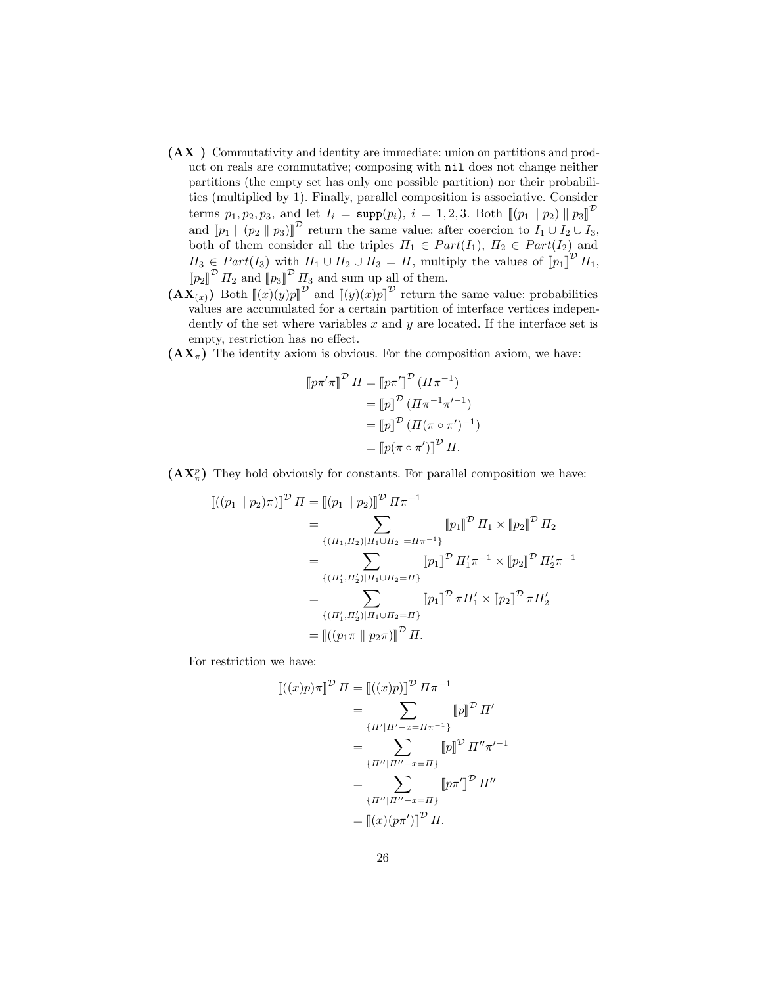- $(AX_{\parallel})$  Commutativity and identity are immediate: union on partitions and product on reals are commutative; composing with nil does not change neither partitions (the empty set has only one possible partition) nor their probabilities (multiplied by 1). Finally, parallel composition is associative. Consider terms  $p_1, p_2, p_3$ , and let  $I_i = \text{supp}(p_i), i = 1, 2, 3$ . Both  $\llbracket (p_1 \parallel p_2) \parallel p_3 \rrbracket^{\mathcal{D}}$ and  $[\![p_1\!](p_2\!||p_3)]\!]^D$  return the same value: after coercion to  $I_1 \cup I_2 \cup I_3$ ,<br>both of them consider all the triples  $H \subset Part(L)$ ,  $H \subset Part(L)$  and both of them consider all the triples  $\Pi_1 \in Part(I_1), H_2 \in Part(I_2)$  and  $\Pi_3 \in Part(I_3)$  with  $\Pi_1 \cup \Pi_2 \cup \Pi_3 = \Pi$ , multiply the values of  $[\![p_1]\!]^{\mathcal{D}} \Pi_1$ ,<br> $[\![\mathbb{L}, \mathbb{L}^{\mathcal{D}}] \Pi_2 \cup \Pi_3$  and sum up all of them  $\llbracket p_2 \rrbracket^{\mathcal{D}} I_2$  and  $\llbracket p_3 \rrbracket^{\mathcal{D}} I_3$  and sum up all of them.
- $(\mathbf{AX}_{(x)})$  Both  $\llbracket (x)(y)p \rrbracket^{\mathcal{D}}$  and  $\llbracket (y)(x)p \rrbracket^{\mathcal{D}}$  return the same value: probabilities values are accumulated for a certain partition of interface vertices independently of the set where variables  $x$  and  $y$  are located. If the interface set is empty, restriction has no effect.
- $(AX_{\pi})$  The identity axiom is obvious. For the composition axiom, we have:

$$
\llbracket p\pi'\pi \rrbracket^{\mathcal{D}}\ \varPi = \llbracket p\pi' \rrbracket^{\mathcal{D}}\ (\varPi\pi^{-1})
$$

$$
= \llbracket p \rrbracket^{\mathcal{D}}\ (\varPi\pi^{-1}\pi'^{-1})
$$

$$
= \llbracket p \rrbracket^{\mathcal{D}}\ (\varPi(\pi \circ \pi')^{-1})
$$

$$
= \llbracket p(\pi \circ \pi') \rrbracket^{\mathcal{D}}\ \varPi.
$$

 $(AX_{\pi}^p)$  They hold obviously for constants. For parallel composition we have:

$$
\begin{split}\n\left[ \left( (p_1 \parallel p_2) \pi \right) \right]^{\mathcal{D}} \Pi &= \left[ (p_1 \parallel p_2) \right]^{\mathcal{D}} \Pi \pi^{-1} \\
&= \sum_{\{(H_1, H_2) | H_1 \cup H_2 = \Pi \pi^{-1}\}} \left[ p_1 \right]^{\mathcal{D}} \Pi_1 \times \left[ p_2 \right]^{\mathcal{D}} \Pi_2 \\
&= \sum_{\{(H'_1, H'_2) | H_1 \cup H_2 = \Pi\}} \left[ p_1 \right]^{\mathcal{D}} \Pi'_1 \pi^{-1} \times \left[ p_2 \right]^{\mathcal{D}} \Pi'_2 \pi^{-1} \\
&= \sum_{\{(H'_1, H'_2) | H_1 \cup H_2 = \Pi\}} \left[ p_1 \right]^{\mathcal{D}} \pi \Pi'_1 \times \left[ p_2 \right]^{\mathcal{D}} \pi \Pi'_2 \\
&= \left[ \left( (p_1 \pi \parallel p_2 \pi) \right]^{\mathcal{D}} \Pi.\n\end{split}
$$

For restriction we have:

$$
\begin{aligned} \left[ (x)p\right]^\mathcal{D} \Pi &= \left[ (x)p \right]^\mathcal{D} \Pi \pi^{-1} \\ &= \sum_{\{H' \mid H' - x = \Pi \pi^{-1}\}} \left[ p \right]^\mathcal{D} \Pi' \\ &= \sum_{\{H'' \mid H'' - x = \Pi\}} \left[ p \right]^\mathcal{D} \Pi'' \pi'^{-1} \\ &= \sum_{\{H'' \mid H'' - x = \Pi\}} \left[ p\pi' \right]^\mathcal{D} \Pi'' \\ &= \left[ (x)(p\pi') \right]^\mathcal{D} \Pi. \end{aligned}
$$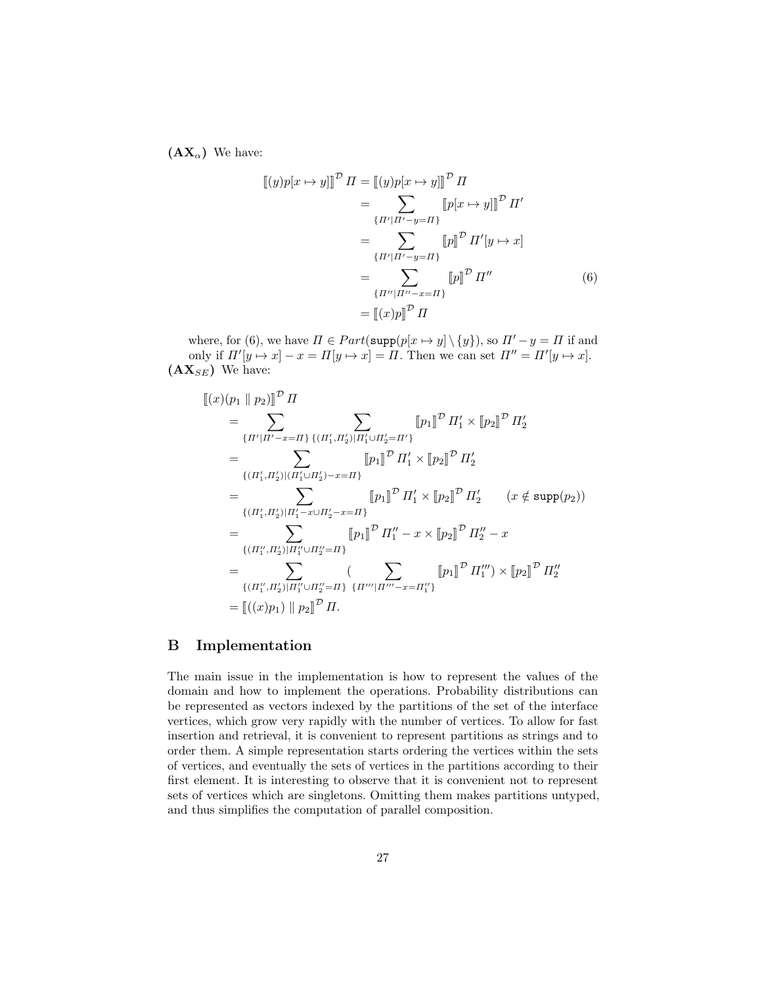$(AX_{\alpha})$  We have:

$$
\begin{aligned}\n\llbracket (y)p[x \mapsto y] \rrbracket^{\mathcal{D}} \, \Pi &= \llbracket (y)p[x \mapsto y] \rrbracket^{\mathcal{D}} \, \Pi \\
&= \sum_{\{H' \mid H' - y = \Pi\}} \llbracket p[x \mapsto y] \rrbracket^{\mathcal{D}} \, \Pi' \\
&= \sum_{\{H' \mid H' - y = \Pi\}} \llbracket p \rrbracket^{\mathcal{D}} \, \Pi'[y \mapsto x] \\
&= \sum_{\{H'' \mid H'' - x = \Pi\}} \llbracket p \rrbracket^{\mathcal{D}} \, \Pi'' \\
&= \llbracket (x)p \rrbracket^{\mathcal{D}} \, \Pi\n\end{aligned} \tag{6}
$$

where, for (6), we have  $\Pi \in Part(\text{supp}(p[x \mapsto y] \setminus \{y\})$ , so  $\Pi' - y = \Pi$  if and only if  $\Pi'[y \mapsto x] - x = \Pi[y \mapsto x] = \Pi$ . Then we can set  $\Pi'' = \Pi'[y \mapsto x]$ .  ${\bf (AX}_{SE)}$  We have:

$$
\begin{split}\n\llbracket (x)(p_1 \parallel p_2) \rrbracket^{\mathcal{D}} \, \Pi \\
&= \sum_{\{ \Pi' | \Pi' - x = \Pi \}} \sum_{\{ (\Pi'_1, \Pi'_2) | \Pi'_1 \cup \Pi'_2 = \Pi' \}} \left[ p_1 \right]^{\mathcal{D}} \, \Pi'_1 \times \left[ p_2 \right]^{\mathcal{D}} \, \Pi'_2 \\
&= \sum_{\{ (\Pi'_1, \Pi'_2) | (\Pi'_1 \cup \Pi'_2) - x = \Pi \}} \left[ p_1 \right]^{\mathcal{D}} \, \Pi'_1 \times \left[ p_2 \right]^{\mathcal{D}} \, \Pi'_2 \\
&= \sum_{\{ (\Pi'_1, \Pi'_2) | \Pi'_1 - x \cup \Pi'_2 - x = \Pi \}} \left[ p_1 \right]^{\mathcal{D}} \, \Pi'_1 \times \left[ p_2 \right]^{\mathcal{D}} \, \Pi'_2 \qquad (x \notin \text{supp}(p_2)) \\
&= \sum_{\{ (\Pi''_1, \Pi'_2) | \Pi''_1 \cup \Pi''_2 = \Pi \}} \left[ p_1 \right]^{\mathcal{D}} \, \Pi''_1 - x \times \left[ p_2 \right]^{\mathcal{D}} \, \Pi''_2 - x \\
&= \sum_{\{ (\Pi''_1, \Pi'_2) | \Pi''_1 \cup \Pi''_2 = \Pi \}} \left( \sum_{\{ \Pi''' \mid \Pi''' - x = \Pi''_1 \}} \left[ p_1 \right]^{\mathcal{D}} \, \Pi'''_1 \right) \times \left[ p_2 \right]^{\mathcal{D}} \, \Pi''_2 \\
&= \left[ ((x)p_1) \parallel p_2 \right]^{\mathcal{D}} \, \Pi.\n\end{split}
$$

## B Implementation

The main issue in the implementation is how to represent the values of the domain and how to implement the operations. Probability distributions can be represented as vectors indexed by the partitions of the set of the interface vertices, which grow very rapidly with the number of vertices. To allow for fast insertion and retrieval, it is convenient to represent partitions as strings and to order them. A simple representation starts ordering the vertices within the sets of vertices, and eventually the sets of vertices in the partitions according to their first element. It is interesting to observe that it is convenient not to represent sets of vertices which are singletons. Omitting them makes partitions untyped, and thus simplifies the computation of parallel composition.